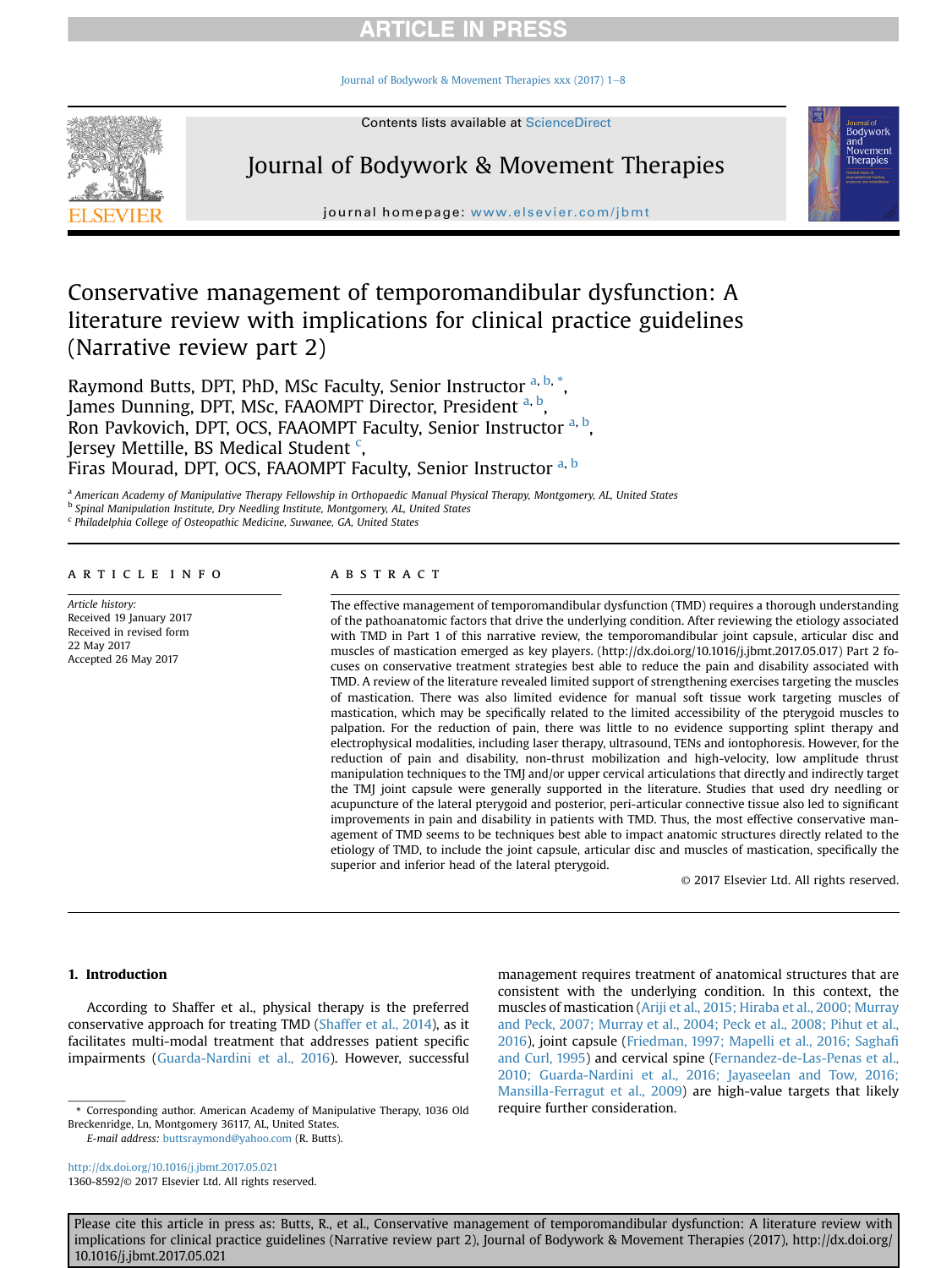Journal of Bodywork & Movement Therapies xxx (2017)  $1-8$  $1-8$ 



# Journal of Bodywork & Movement Therapies



journal homepage: <www.elsevier.com/jbmt>

Conservative management of temporomandibular dysfunction: A literature review with implications for clinical practice guidelines (Narrative review part 2)

Raymond Butts, DPT, PhD, MSc Faculty, Senior Instructor <sup>a, b,</sup> \*, James Dunning, DPT, MSc, FAAOMPT Director, President a, b, Ron Pavkovich, DPT, OCS, FAAOMPT Faculty, Senior Instructor <sup>a, b</sup>, Jersey Mettille, BS Medical Student <sup>c</sup>, Firas Mourad, DPT, OCS, FAAOMPT Faculty, Senior Instructor a, b

a American Academy of Manipulative Therapy Fellowship in Orthopaedic Manual Physical Therapy, Montgomery, AL, United States

<sup>b</sup> Spinal Manipulation Institute, Dry Needling Institute, Montgomery, AL, United States

<sup>c</sup> Philadelphia College of Osteopathic Medicine, Suwanee, GA, United States

### article info

Article history: Received 19 January 2017 Received in revised form 22 May 2017 Accepted 26 May 2017

### ABSTRACT

The effective management of temporomandibular dysfunction (TMD) requires a thorough understanding of the pathoanatomic factors that drive the underlying condition. After reviewing the etiology associated with TMD in Part 1 of this narrative review, the temporomandibular joint capsule, articular disc and muscles of mastication emerged as key players. (http://dx.doi.org/10.1016/j.jbmt.2017.05.017) Part 2 focuses on conservative treatment strategies best able to reduce the pain and disability associated with TMD. A review of the literature revealed limited support of strengthening exercises targeting the muscles of mastication. There was also limited evidence for manual soft tissue work targeting muscles of mastication, which may be specifically related to the limited accessibility of the pterygoid muscles to palpation. For the reduction of pain, there was little to no evidence supporting splint therapy and electrophysical modalities, including laser therapy, ultrasound, TENs and iontophoresis. However, for the reduction of pain and disability, non-thrust mobilization and high-velocity, low amplitude thrust manipulation techniques to the TMJ and/or upper cervical articulations that directly and indirectly target the TMJ joint capsule were generally supported in the literature. Studies that used dry needling or acupuncture of the lateral pterygoid and posterior, peri-articular connective tissue also led to significant improvements in pain and disability in patients with TMD. Thus, the most effective conservative management of TMD seems to be techniques best able to impact anatomic structures directly related to the etiology of TMD, to include the joint capsule, articular disc and muscles of mastication, specifically the superior and inferior head of the lateral pterygoid.

© 2017 Elsevier Ltd. All rights reserved.

### 1. Introduction

According to Shaffer et al., physical therapy is the preferred conservative approach for treating TMD ([Shaffer et al., 2014](#page-6-0)), as it facilitates multi-modal treatment that addresses patient specific impairments [\(Guarda-Nardini et al., 2016](#page-5-0)). However, successful

<http://dx.doi.org/10.1016/j.jbmt.2017.05.021> 1360-8592/© 2017 Elsevier Ltd. All rights reserved. management requires treatment of anatomical structures that are consistent with the underlying condition. In this context, the muscles of mastication [\(Ariji et al., 2015; Hiraba et al., 2000; Murray](#page-5-0) [and Peck, 2007; Murray et al., 2004; Peck et al., 2008; Pihut et al.,](#page-5-0) [2016\)](#page-5-0), joint capsule [\(Friedman, 1997; Mapelli et al., 2016; Sagha](#page-5-0)fi [and Curl, 1995](#page-5-0)) and cervical spine ([Fernandez-de-Las-Penas et al.,](#page-5-0) [2010; Guarda-Nardini et al., 2016; Jayaseelan and Tow, 2016;](#page-5-0) [Mansilla-Ferragut et al., 2009\)](#page-5-0) are high-value targets that likely

<sup>\*</sup> Corresponding author. American Academy of Manipulative Therapy, 1036 Old require further consideration. Breckenridge, Ln, Montgomery 36117, AL, United States.

E-mail address: [buttsraymond@yahoo.com](mailto:buttsraymond@yahoo.com) (R. Butts).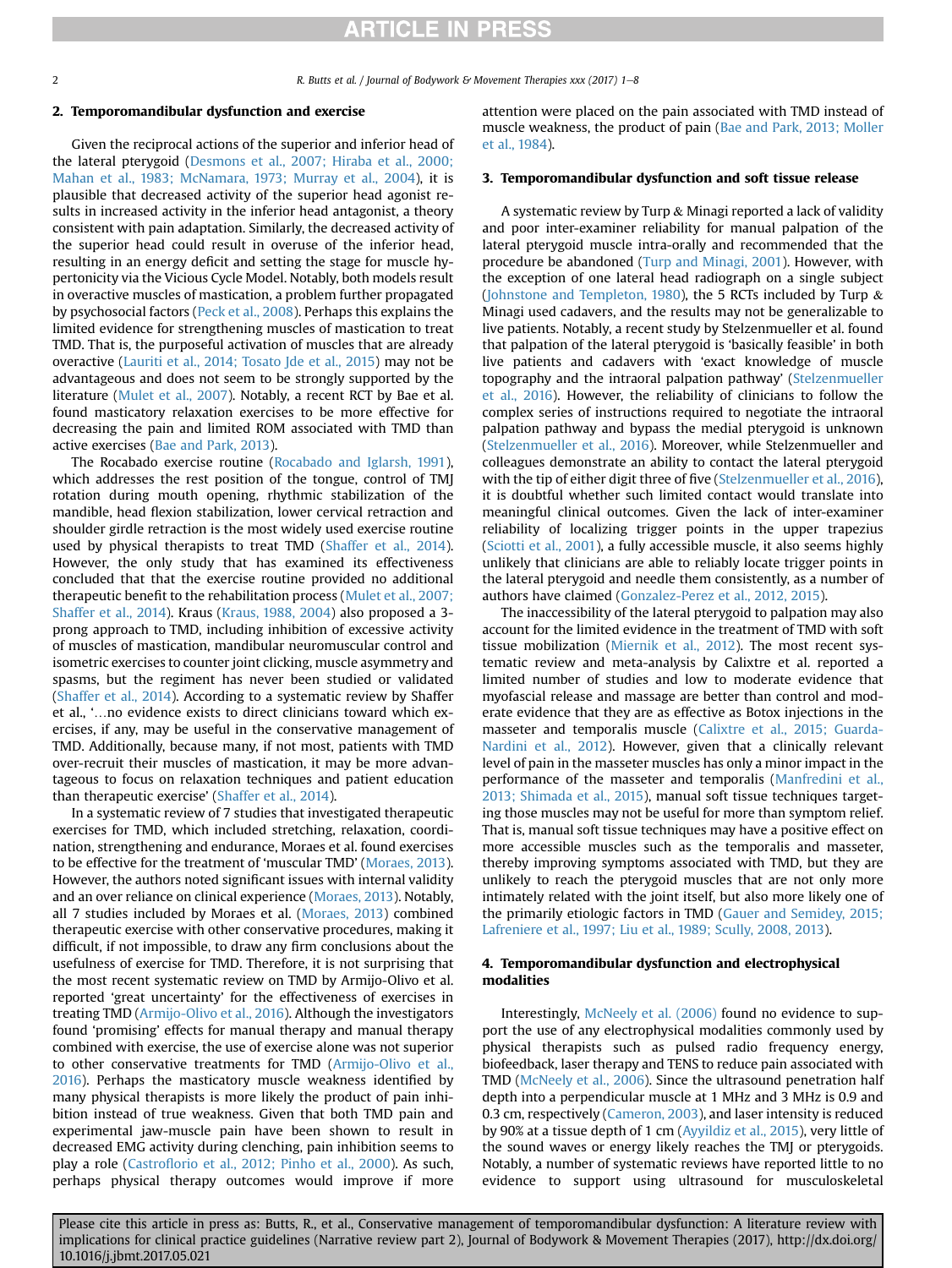### 2. Temporomandibular dysfunction and exercise

Given the reciprocal actions of the superior and inferior head of the lateral pterygoid ([Desmons et al., 2007; Hiraba et al., 2000;](#page-5-0) [Mahan et al., 1983; McNamara, 1973; Murray et al., 2004\)](#page-5-0), it is plausible that decreased activity of the superior head agonist results in increased activity in the inferior head antagonist, a theory consistent with pain adaptation. Similarly, the decreased activity of the superior head could result in overuse of the inferior head, resulting in an energy deficit and setting the stage for muscle hypertonicity via the Vicious Cycle Model. Notably, both models result in overactive muscles of mastication, a problem further propagated by psychosocial factors ([Peck et al., 2008\)](#page-6-0). Perhaps this explains the limited evidence for strengthening muscles of mastication to treat TMD. That is, the purposeful activation of muscles that are already overactive [\(Lauriti et al., 2014; Tosato Jde et al., 2015\)](#page-5-0) may not be advantageous and does not seem to be strongly supported by the literature ([Mulet et al., 2007](#page-6-0)). Notably, a recent RCT by Bae et al. found masticatory relaxation exercises to be more effective for decreasing the pain and limited ROM associated with TMD than active exercises ([Bae and Park, 2013\)](#page-5-0).

The Rocabado exercise routine ([Rocabado and Iglarsh, 1991\)](#page-6-0), which addresses the rest position of the tongue, control of TMJ rotation during mouth opening, rhythmic stabilization of the mandible, head flexion stabilization, lower cervical retraction and shoulder girdle retraction is the most widely used exercise routine used by physical therapists to treat TMD ([Shaffer et al., 2014\)](#page-6-0). However, the only study that has examined its effectiveness concluded that that the exercise routine provided no additional therapeutic benefit to the rehabilitation process [\(Mulet et al., 2007;](#page-6-0) [Shaffer et al., 2014\)](#page-6-0). Kraus ([Kraus, 1988, 2004\)](#page-5-0) also proposed a 3 prong approach to TMD, including inhibition of excessive activity of muscles of mastication, mandibular neuromuscular control and isometric exercises to counter joint clicking, muscle asymmetry and spasms, but the regiment has never been studied or validated ([Shaffer et al., 2014](#page-6-0)). According to a systematic review by Shaffer et al., '…no evidence exists to direct clinicians toward which exercises, if any, may be useful in the conservative management of TMD. Additionally, because many, if not most, patients with TMD over-recruit their muscles of mastication, it may be more advantageous to focus on relaxation techniques and patient education than therapeutic exercise' [\(Shaffer et al., 2014\)](#page-6-0).

In a systematic review of 7 studies that investigated therapeutic exercises for TMD, which included stretching, relaxation, coordination, strengthening and endurance, Moraes et al. found exercises to be effective for the treatment of 'muscular TMD' ([Moraes, 2013\)](#page-6-0). However, the authors noted significant issues with internal validity and an over reliance on clinical experience [\(Moraes, 2013](#page-6-0)). Notably, all 7 studies included by Moraes et al. ([Moraes, 2013\)](#page-6-0) combined therapeutic exercise with other conservative procedures, making it difficult, if not impossible, to draw any firm conclusions about the usefulness of exercise for TMD. Therefore, it is not surprising that the most recent systematic review on TMD by Armijo-Olivo et al. reported 'great uncertainty' for the effectiveness of exercises in treating TMD [\(Armijo-Olivo et al., 2016\)](#page-5-0). Although the investigators found 'promising' effects for manual therapy and manual therapy combined with exercise, the use of exercise alone was not superior to other conservative treatments for TMD [\(Armijo-Olivo et al.,](#page-5-0) [2016](#page-5-0)). Perhaps the masticatory muscle weakness identified by many physical therapists is more likely the product of pain inhibition instead of true weakness. Given that both TMD pain and experimental jaw-muscle pain have been shown to result in decreased EMG activity during clenching, pain inhibition seems to play a role (Castrofl[orio et al., 2012; Pinho et al., 2000](#page-5-0)). As such, perhaps physical therapy outcomes would improve if more

attention were placed on the pain associated with TMD instead of muscle weakness, the product of pain ([Bae and Park, 2013; Moller](#page-5-0) [et al., 1984](#page-5-0)).

### 3. Temporomandibular dysfunction and soft tissue release

A systematic review by Turp & Minagi reported a lack of validity and poor inter-examiner reliability for manual palpation of the lateral pterygoid muscle intra-orally and recommended that the procedure be abandoned [\(Turp and Minagi, 2001](#page-6-0)). However, with the exception of one lateral head radiograph on a single subject ([Johnstone and Templeton, 1980\)](#page-5-0), the 5 RCTs included by Turp  $\&$ Minagi used cadavers, and the results may not be generalizable to live patients. Notably, a recent study by Stelzenmueller et al. found that palpation of the lateral pterygoid is 'basically feasible' in both live patients and cadavers with 'exact knowledge of muscle topography and the intraoral palpation pathway' [\(Stelzenmueller](#page-6-0) [et al., 2016\)](#page-6-0). However, the reliability of clinicians to follow the complex series of instructions required to negotiate the intraoral palpation pathway and bypass the medial pterygoid is unknown ([Stelzenmueller et al., 2016](#page-6-0)). Moreover, while Stelzenmueller and colleagues demonstrate an ability to contact the lateral pterygoid with the tip of either digit three of five ([Stelzenmueller et al., 2016\)](#page-6-0), it is doubtful whether such limited contact would translate into meaningful clinical outcomes. Given the lack of inter-examiner reliability of localizing trigger points in the upper trapezius ([Sciotti et al., 2001\)](#page-6-0), a fully accessible muscle, it also seems highly unlikely that clinicians are able to reliably locate trigger points in the lateral pterygoid and needle them consistently, as a number of authors have claimed ([Gonzalez-Perez et al., 2012, 2015](#page-5-0)).

The inaccessibility of the lateral pterygoid to palpation may also account for the limited evidence in the treatment of TMD with soft tissue mobilization [\(Miernik et al., 2012](#page-6-0)). The most recent systematic review and meta-analysis by Calixtre et al. reported a limited number of studies and low to moderate evidence that myofascial release and massage are better than control and moderate evidence that they are as effective as Botox injections in the masseter and temporalis muscle [\(Calixtre et al., 2015; Guarda-](#page-5-0)[Nardini et al., 2012](#page-5-0)). However, given that a clinically relevant level of pain in the masseter muscles has only a minor impact in the performance of the masseter and temporalis [\(Manfredini et al.,](#page-6-0) [2013; Shimada et al., 2015\)](#page-6-0), manual soft tissue techniques targeting those muscles may not be useful for more than symptom relief. That is, manual soft tissue techniques may have a positive effect on more accessible muscles such as the temporalis and masseter, thereby improving symptoms associated with TMD, but they are unlikely to reach the pterygoid muscles that are not only more intimately related with the joint itself, but also more likely one of the primarily etiologic factors in TMD ([Gauer and Semidey, 2015;](#page-5-0) [Lafreniere et al., 1997; Liu et al., 1989; Scully, 2008, 2013\)](#page-5-0).

### 4. Temporomandibular dysfunction and electrophysical modalities

Interestingly, [McNeely et al. \(2006\)](#page-6-0) found no evidence to support the use of any electrophysical modalities commonly used by physical therapists such as pulsed radio frequency energy, biofeedback, laser therapy and TENS to reduce pain associated with TMD ([McNeely et al., 2006](#page-6-0)). Since the ultrasound penetration half depth into a perpendicular muscle at 1 MHz and 3 MHz is 0.9 and 0.3 cm, respectively [\(Cameron, 2003](#page-5-0)), and laser intensity is reduced by 90% at a tissue depth of 1 cm [\(Ayyildiz et al., 2015\)](#page-5-0), very little of the sound waves or energy likely reaches the TMJ or pterygoids. Notably, a number of systematic reviews have reported little to no evidence to support using ultrasound for musculoskeletal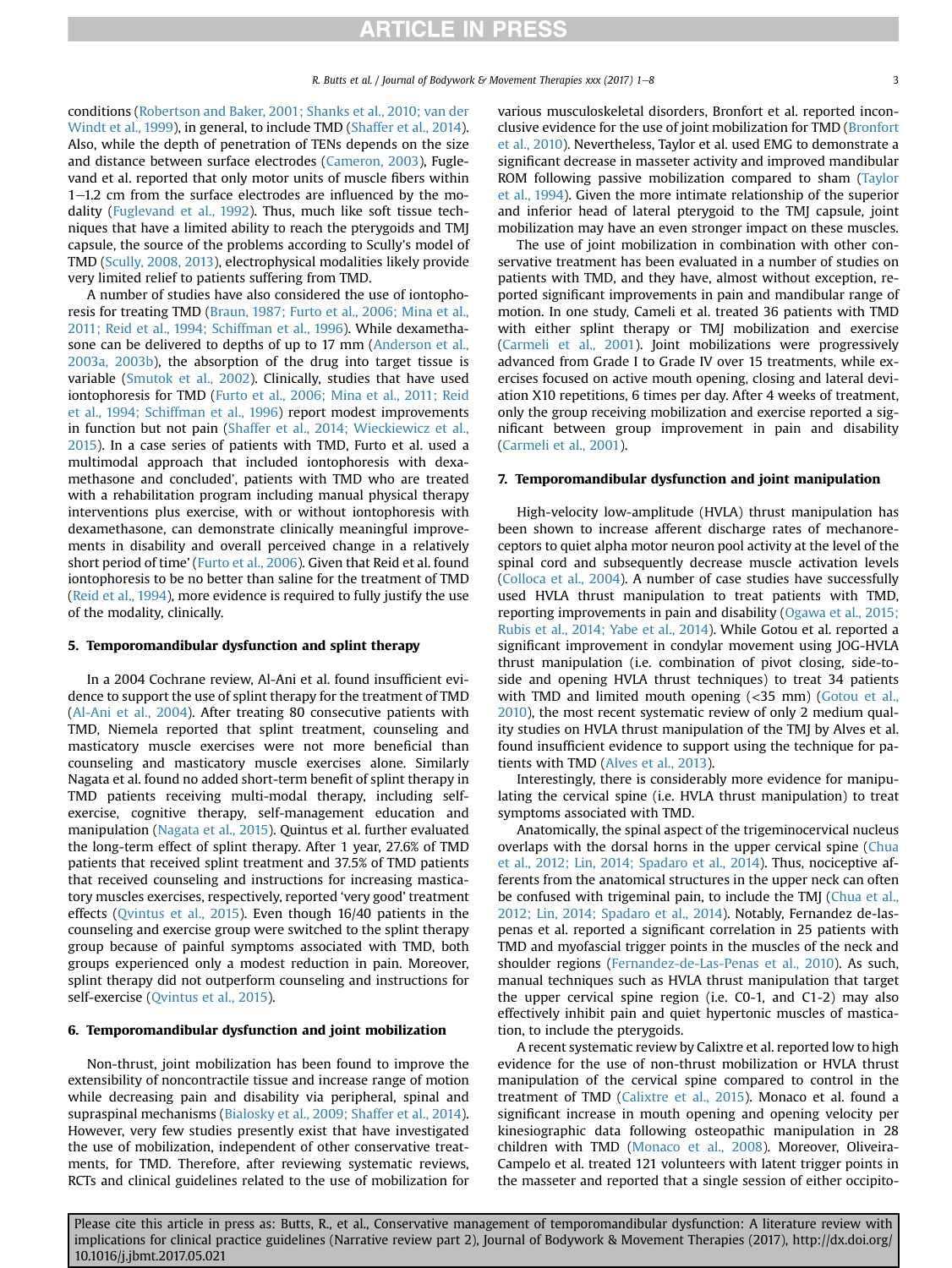conditions [\(Robertson and Baker, 2001; Shanks et al., 2010; van der](#page-6-0) [Windt et al., 1999](#page-6-0)), in general, to include TMD ([Shaffer et al., 2014\)](#page-6-0). Also, while the depth of penetration of TENs depends on the size and distance between surface electrodes [\(Cameron, 2003](#page-5-0)), Fuglevand et al. reported that only motor units of muscle fibers within  $1-1.2$  cm from the surface electrodes are influenced by the modality ([Fuglevand et al., 1992](#page-5-0)). Thus, much like soft tissue techniques that have a limited ability to reach the pterygoids and TMJ capsule, the source of the problems according to Scully's model of TMD [\(Scully, 2008, 2013\)](#page-6-0), electrophysical modalities likely provide very limited relief to patients suffering from TMD.

A number of studies have also considered the use of iontophoresis for treating TMD [\(Braun, 1987; Furto et al., 2006; Mina et al.,](#page-5-0) [2011; Reid et al., 1994; Schiffman et al., 1996\)](#page-5-0). While dexamethasone can be delivered to depths of up to 17 mm ([Anderson et al.,](#page-5-0) [2003a, 2003b\)](#page-5-0), the absorption of the drug into target tissue is variable [\(Smutok et al., 2002](#page-6-0)). Clinically, studies that have used iontophoresis for TMD ([Furto et al., 2006; Mina et al., 2011; Reid](#page-5-0) [et al., 1994; Schiffman et al., 1996](#page-5-0)) report modest improvements in function but not pain ([Shaffer et al., 2014; Wieckiewicz et al.,](#page-6-0) [2015\)](#page-6-0). In a case series of patients with TMD, Furto et al. used a multimodal approach that included iontophoresis with dexamethasone and concluded', patients with TMD who are treated with a rehabilitation program including manual physical therapy interventions plus exercise, with or without iontophoresis with dexamethasone, can demonstrate clinically meaningful improvements in disability and overall perceived change in a relatively short period of time' ([Furto et al., 2006](#page-5-0)). Given that Reid et al. found iontophoresis to be no better than saline for the treatment of TMD ([Reid et al., 1994](#page-6-0)), more evidence is required to fully justify the use of the modality, clinically.

### 5. Temporomandibular dysfunction and splint therapy

In a 2004 Cochrane review, Al-Ani et al. found insufficient evidence to support the use of splint therapy for the treatment of TMD ([Al-Ani et al., 2004](#page-5-0)). After treating 80 consecutive patients with TMD, Niemela reported that splint treatment, counseling and masticatory muscle exercises were not more beneficial than counseling and masticatory muscle exercises alone. Similarly Nagata et al. found no added short-term benefit of splint therapy in TMD patients receiving multi-modal therapy, including selfexercise, cognitive therapy, self-management education and manipulation ([Nagata et al., 2015\)](#page-6-0). Quintus et al. further evaluated the long-term effect of splint therapy. After 1 year, 27.6% of TMD patients that received splint treatment and 37.5% of TMD patients that received counseling and instructions for increasing masticatory muscles exercises, respectively, reported 'very good' treatment effects ([Qvintus et al., 2015\)](#page-6-0). Even though 16/40 patients in the counseling and exercise group were switched to the splint therapy group because of painful symptoms associated with TMD, both groups experienced only a modest reduction in pain. Moreover, splint therapy did not outperform counseling and instructions for self-exercise ([Qvintus et al., 2015](#page-6-0)).

### 6. Temporomandibular dysfunction and joint mobilization

Non-thrust, joint mobilization has been found to improve the extensibility of noncontractile tissue and increase range of motion while decreasing pain and disability via peripheral, spinal and supraspinal mechanisms ([Bialosky et al., 2009; Shaffer et al., 2014\)](#page-5-0). However, very few studies presently exist that have investigated the use of mobilization, independent of other conservative treatments, for TMD. Therefore, after reviewing systematic reviews, RCTs and clinical guidelines related to the use of mobilization for various musculoskeletal disorders, Bronfort et al. reported inconclusive evidence for the use of joint mobilization for TMD ([Bronfort](#page-5-0) [et al., 2010](#page-5-0)). Nevertheless, Taylor et al. used EMG to demonstrate a significant decrease in masseter activity and improved mandibular ROM following passive mobilization compared to sham [\(Taylor](#page-6-0) [et al., 1994\)](#page-6-0). Given the more intimate relationship of the superior and inferior head of lateral pterygoid to the TMJ capsule, joint mobilization may have an even stronger impact on these muscles.

The use of joint mobilization in combination with other conservative treatment has been evaluated in a number of studies on patients with TMD, and they have, almost without exception, reported significant improvements in pain and mandibular range of motion. In one study, Cameli et al. treated 36 patients with TMD with either splint therapy or TMJ mobilization and exercise ([Carmeli et al., 2001](#page-5-0)). Joint mobilizations were progressively advanced from Grade I to Grade IV over 15 treatments, while exercises focused on active mouth opening, closing and lateral deviation X10 repetitions, 6 times per day. After 4 weeks of treatment, only the group receiving mobilization and exercise reported a significant between group improvement in pain and disability ([Carmeli et al., 2001\)](#page-5-0).

### 7. Temporomandibular dysfunction and joint manipulation

High-velocity low-amplitude (HVLA) thrust manipulation has been shown to increase afferent discharge rates of mechanoreceptors to quiet alpha motor neuron pool activity at the level of the spinal cord and subsequently decrease muscle activation levels ([Colloca et al., 2004](#page-5-0)). A number of case studies have successfully used HVLA thrust manipulation to treat patients with TMD, reporting improvements in pain and disability [\(Ogawa et al., 2015;](#page-6-0) [Rubis et al., 2014; Yabe et al., 2014](#page-6-0)). While Gotou et al. reported a significant improvement in condylar movement using JOG-HVLA thrust manipulation (i.e. combination of pivot closing, side-toside and opening HVLA thrust techniques) to treat 34 patients with TMD and limited mouth opening (<35 mm) [\(Gotou et al.,](#page-5-0) [2010\)](#page-5-0), the most recent systematic review of only 2 medium quality studies on HVLA thrust manipulation of the TMJ by Alves et al. found insufficient evidence to support using the technique for patients with TMD [\(Alves et al., 2013](#page-5-0)).

Interestingly, there is considerably more evidence for manipulating the cervical spine (i.e. HVLA thrust manipulation) to treat symptoms associated with TMD.

Anatomically, the spinal aspect of the trigeminocervical nucleus overlaps with the dorsal horns in the upper cervical spine ([Chua](#page-5-0) [et al., 2012; Lin, 2014; Spadaro et al., 2014](#page-5-0)). Thus, nociceptive afferents from the anatomical structures in the upper neck can often be confused with trigeminal pain, to include the TMJ [\(Chua et al.,](#page-5-0) [2012; Lin, 2014; Spadaro et al., 2014](#page-5-0)). Notably, Fernandez de-laspenas et al. reported a significant correlation in 25 patients with TMD and myofascial trigger points in the muscles of the neck and shoulder regions ([Fernandez-de-Las-Penas et al., 2010\)](#page-5-0). As such, manual techniques such as HVLA thrust manipulation that target the upper cervical spine region (i.e. C0-1, and C1-2) may also effectively inhibit pain and quiet hypertonic muscles of mastication, to include the pterygoids.

A recent systematic review by Calixtre et al. reported low to high evidence for the use of non-thrust mobilization or HVLA thrust manipulation of the cervical spine compared to control in the treatment of TMD [\(Calixtre et al., 2015\)](#page-5-0). Monaco et al. found a significant increase in mouth opening and opening velocity per kinesiographic data following osteopathic manipulation in 28 children with TMD ([Monaco et al., 2008](#page-6-0)). Moreover, Oliveira-Campelo et al. treated 121 volunteers with latent trigger points in the masseter and reported that a single session of either occipito-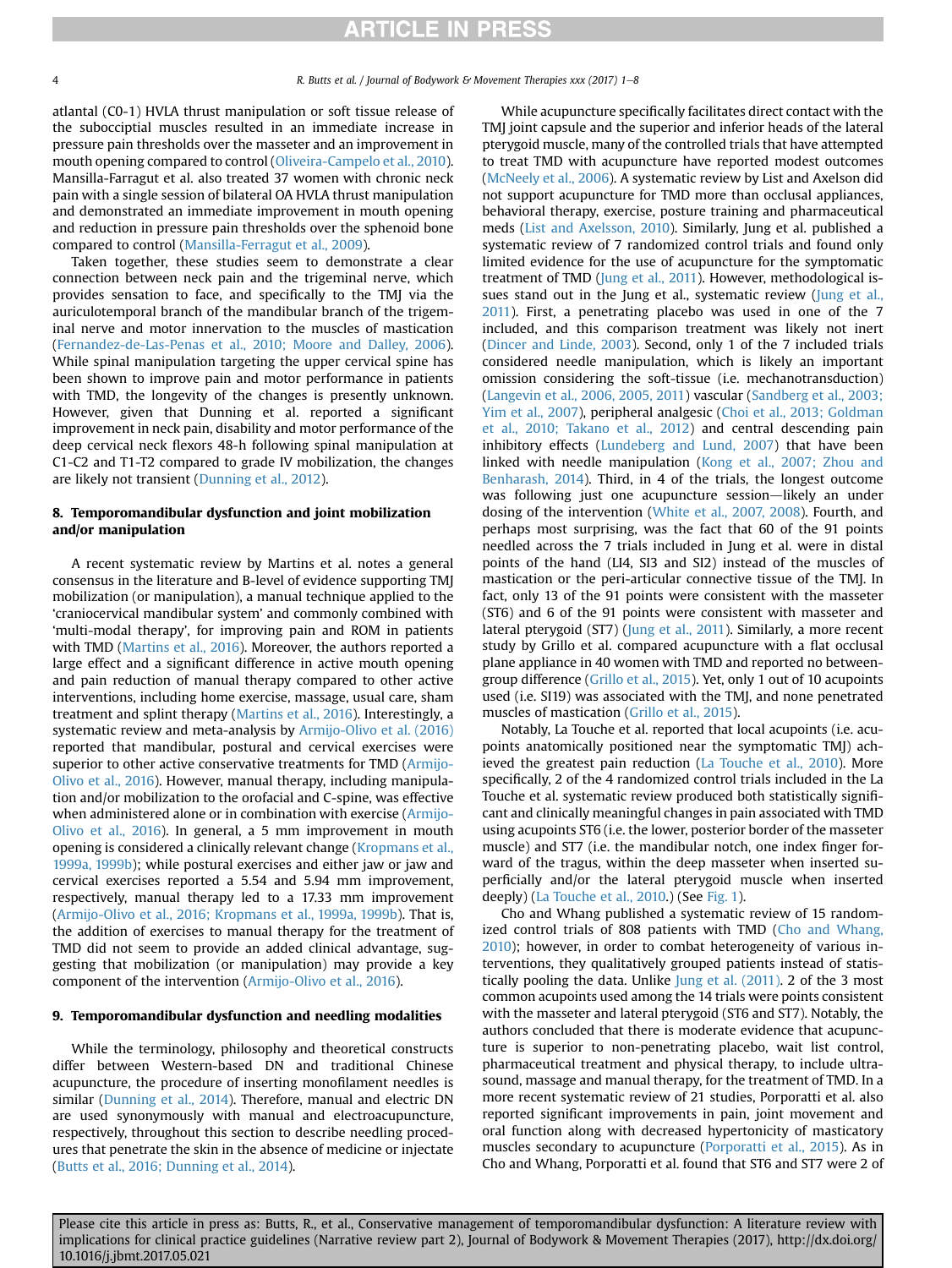atlantal (C0-1) HVLA thrust manipulation or soft tissue release of the subocciptial muscles resulted in an immediate increase in pressure pain thresholds over the masseter and an improvement in mouth opening compared to control [\(Oliveira-Campelo et al., 2010\)](#page-6-0). Mansilla-Farragut et al. also treated 37 women with chronic neck pain with a single session of bilateral OA HVLA thrust manipulation and demonstrated an immediate improvement in mouth opening and reduction in pressure pain thresholds over the sphenoid bone compared to control ([Mansilla-Ferragut et al., 2009\)](#page-6-0).

Taken together, these studies seem to demonstrate a clear connection between neck pain and the trigeminal nerve, which provides sensation to face, and specifically to the TMJ via the auriculotemporal branch of the mandibular branch of the trigeminal nerve and motor innervation to the muscles of mastication ([Fernandez-de-Las-Penas et al., 2010; Moore and Dalley, 2006\)](#page-5-0). While spinal manipulation targeting the upper cervical spine has been shown to improve pain and motor performance in patients with TMD, the longevity of the changes is presently unknown. However, given that Dunning et al. reported a significant improvement in neck pain, disability and motor performance of the deep cervical neck flexors 48-h following spinal manipulation at C1-C2 and T1-T2 compared to grade IV mobilization, the changes are likely not transient ([Dunning et al., 2012\)](#page-5-0).

### 8. Temporomandibular dysfunction and joint mobilization and/or manipulation

A recent systematic review by Martins et al. notes a general consensus in the literature and B-level of evidence supporting TMJ mobilization (or manipulation), a manual technique applied to the 'craniocervical mandibular system' and commonly combined with 'multi-modal therapy', for improving pain and ROM in patients with TMD ([Martins et al., 2016\)](#page-6-0). Moreover, the authors reported a large effect and a significant difference in active mouth opening and pain reduction of manual therapy compared to other active interventions, including home exercise, massage, usual care, sham treatment and splint therapy ([Martins et al., 2016\)](#page-6-0). Interestingly, a systematic review and meta-analysis by [Armijo-Olivo et al. \(2016\)](#page-5-0) reported that mandibular, postural and cervical exercises were superior to other active conservative treatments for TMD ([Armijo-](#page-5-0)[Olivo et al., 2016](#page-5-0)). However, manual therapy, including manipulation and/or mobilization to the orofacial and C-spine, was effective when administered alone or in combination with exercise ([Armijo-](#page-5-0)[Olivo et al., 2016\)](#page-5-0). In general, a 5 mm improvement in mouth opening is considered a clinically relevant change [\(Kropmans et al.,](#page-5-0) [1999a, 1999b\)](#page-5-0); while postural exercises and either jaw or jaw and cervical exercises reported a 5.54 and 5.94 mm improvement, respectively, manual therapy led to a 17.33 mm improvement ([Armijo-Olivo et al., 2016; Kropmans et al., 1999a, 1999b\)](#page-5-0). That is, the addition of exercises to manual therapy for the treatment of TMD did not seem to provide an added clinical advantage, suggesting that mobilization (or manipulation) may provide a key component of the intervention [\(Armijo-Olivo et al., 2016](#page-5-0)).

### 9. Temporomandibular dysfunction and needling modalities

While the terminology, philosophy and theoretical constructs differ between Western-based DN and traditional Chinese acupuncture, the procedure of inserting monofilament needles is similar [\(Dunning et al., 2014\)](#page-5-0). Therefore, manual and electric DN are used synonymously with manual and electroacupuncture, respectively, throughout this section to describe needling procedures that penetrate the skin in the absence of medicine or injectate ([Butts et al., 2016; Dunning et al., 2014](#page-5-0)).

While acupuncture specifically facilitates direct contact with the TMJ joint capsule and the superior and inferior heads of the lateral pterygoid muscle, many of the controlled trials that have attempted to treat TMD with acupuncture have reported modest outcomes ([McNeely et al., 2006](#page-6-0)). A systematic review by List and Axelson did not support acupuncture for TMD more than occlusal appliances, behavioral therapy, exercise, posture training and pharmaceutical meds ([List and Axelsson, 2010](#page-6-0)). Similarly, Jung et al. published a systematic review of 7 randomized control trials and found only limited evidence for the use of acupuncture for the symptomatic treatment of TMD ([Jung et al., 2011](#page-5-0)). However, methodological is-sues stand out in the Jung et al., systematic review [\(Jung et al.,](#page-5-0) [2011\)](#page-5-0). First, a penetrating placebo was used in one of the 7 included, and this comparison treatment was likely not inert ([Dincer and Linde, 2003](#page-5-0)). Second, only 1 of the 7 included trials considered needle manipulation, which is likely an important omission considering the soft-tissue (i.e. mechanotransduction) ([Langevin et al., 2006, 2005, 2011\)](#page-5-0) vascular ([Sandberg et al., 2003;](#page-6-0) [Yim et al., 2007\)](#page-6-0), peripheral analgesic ([Choi et al., 2013; Goldman](#page-5-0) [et al., 2010; Takano et al., 2012\)](#page-5-0) and central descending pain inhibitory effects ([Lundeberg and Lund, 2007](#page-6-0)) that have been linked with needle manipulation [\(Kong et al., 2007; Zhou and](#page-5-0) [Benharash, 2014](#page-5-0)). Third, in 4 of the trials, the longest outcome was following just one acupuncture session-likely an under dosing of the intervention [\(White et al., 2007, 2008\)](#page-6-0). Fourth, and perhaps most surprising, was the fact that 60 of the 91 points needled across the 7 trials included in Jung et al. were in distal points of the hand (LI4, SI3 and SI2) instead of the muscles of mastication or the peri-articular connective tissue of the TMJ. In fact, only 13 of the 91 points were consistent with the masseter (ST6) and 6 of the 91 points were consistent with masseter and lateral pterygoid (ST7) ([Jung et al., 2011\)](#page-5-0). Similarly, a more recent study by Grillo et al. compared acupuncture with a flat occlusal plane appliance in 40 women with TMD and reported no betweengroup difference [\(Grillo et al., 2015\)](#page-5-0). Yet, only 1 out of 10 acupoints used (i.e. SI19) was associated with the TMJ, and none penetrated muscles of mastication [\(Grillo et al., 2015](#page-5-0)).

Notably, La Touche et al. reported that local acupoints (i.e. acupoints anatomically positioned near the symptomatic TMJ) achieved the greatest pain reduction ([La Touche et al., 2010](#page-5-0)). More specifically, 2 of the 4 randomized control trials included in the La Touche et al. systematic review produced both statistically significant and clinically meaningful changes in pain associated with TMD using acupoints ST6 (i.e. the lower, posterior border of the masseter muscle) and ST7 (i.e. the mandibular notch, one index finger forward of the tragus, within the deep masseter when inserted superficially and/or the lateral pterygoid muscle when inserted deeply) ([La Touche et al., 2010.](#page-5-0)) (See [Fig. 1](#page-4-0)).

Cho and Whang published a systematic review of 15 randomized control trials of 808 patients with TMD ([Cho and Whang,](#page-5-0) [2010\)](#page-5-0); however, in order to combat heterogeneity of various interventions, they qualitatively grouped patients instead of statistically pooling the data. Unlike [Jung et al. \(2011\)](#page-5-0). 2 of the 3 most common acupoints used among the 14 trials were points consistent with the masseter and lateral pterygoid (ST6 and ST7). Notably, the authors concluded that there is moderate evidence that acupuncture is superior to non-penetrating placebo, wait list control, pharmaceutical treatment and physical therapy, to include ultrasound, massage and manual therapy, for the treatment of TMD. In a more recent systematic review of 21 studies, Porporatti et al. also reported significant improvements in pain, joint movement and oral function along with decreased hypertonicity of masticatory muscles secondary to acupuncture [\(Porporatti et al., 2015](#page-6-0)). As in Cho and Whang, Porporatti et al. found that ST6 and ST7 were 2 of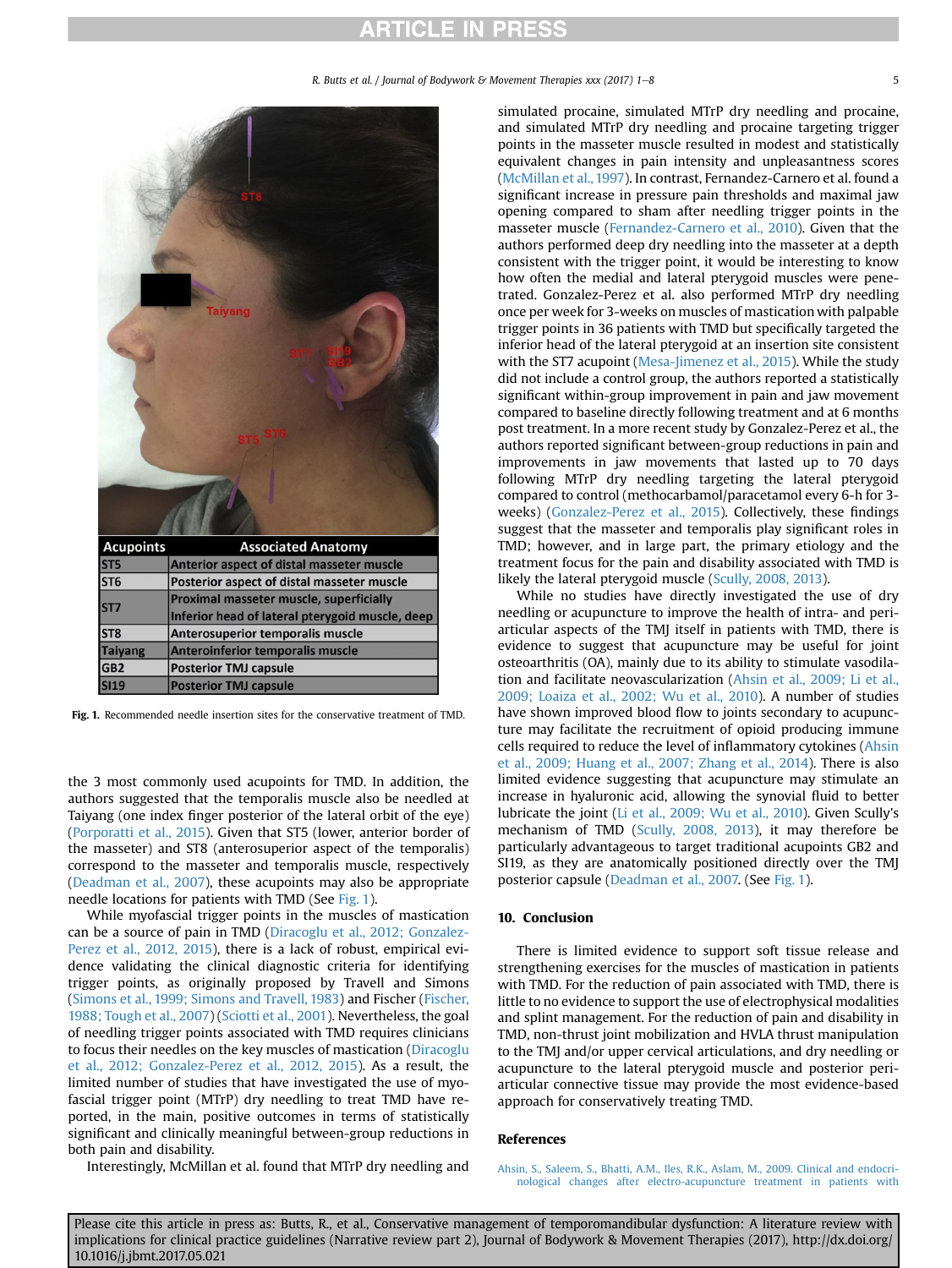R. Butts et al. / Journal of Bodywork & Movement Therapies xxx (2017) 1-8 5

<span id="page-4-0"></span>

Fig. 1. Recommended needle insertion sites for the conservative treatment of TMD.

the 3 most commonly used acupoints for TMD. In addition, the authors suggested that the temporalis muscle also be needled at Taiyang (one index finger posterior of the lateral orbit of the eye) ([Porporatti et al., 2015\)](#page-6-0). Given that ST5 (lower, anterior border of the masseter) and ST8 (anterosuperior aspect of the temporalis) correspond to the masseter and temporalis muscle, respectively ([Deadman et al., 2007](#page-5-0)), these acupoints may also be appropriate needle locations for patients with TMD (See Fig. 1).

While myofascial trigger points in the muscles of mastication can be a source of pain in TMD [\(Diracoglu et al., 2012; Gonzalez-](#page-5-0)[Perez et al., 2012, 2015\)](#page-5-0), there is a lack of robust, empirical evidence validating the clinical diagnostic criteria for identifying trigger points, as originally proposed by Travell and Simons ([Simons et al., 1999; Simons and Travell, 1983](#page-6-0)) and Fischer [\(Fischer,](#page-5-0) [1988; Tough et al., 2007](#page-5-0)) ([Sciotti et al., 2001\)](#page-6-0). Nevertheless, the goal of needling trigger points associated with TMD requires clinicians to focus their needles on the key muscles of mastication [\(Diracoglu](#page-5-0) [et al., 2012; Gonzalez-Perez et al., 2012, 2015\)](#page-5-0). As a result, the limited number of studies that have investigated the use of myofascial trigger point (MTrP) dry needling to treat TMD have reported, in the main, positive outcomes in terms of statistically significant and clinically meaningful between-group reductions in both pain and disability.

simulated procaine, simulated MTrP dry needling and procaine, and simulated MTrP dry needling and procaine targeting trigger points in the masseter muscle resulted in modest and statistically equivalent changes in pain intensity and unpleasantness scores ([McMillan et al., 1997\)](#page-6-0). In contrast, Fernandez-Carnero et al. found a significant increase in pressure pain thresholds and maximal jaw opening compared to sham after needling trigger points in the masseter muscle [\(Fernandez-Carnero et al., 2010\)](#page-5-0). Given that the authors performed deep dry needling into the masseter at a depth consistent with the trigger point, it would be interesting to know how often the medial and lateral pterygoid muscles were penetrated. Gonzalez-Perez et al. also performed MTrP dry needling once per week for 3-weeks on muscles of mastication with palpable trigger points in 36 patients with TMD but specifically targeted the inferior head of the lateral pterygoid at an insertion site consistent with the ST7 acupoint [\(Mesa-Jimenez et al., 2015](#page-6-0)). While the study did not include a control group, the authors reported a statistically significant within-group improvement in pain and jaw movement compared to baseline directly following treatment and at 6 months post treatment. In a more recent study by Gonzalez-Perez et al., the authors reported significant between-group reductions in pain and improvements in jaw movements that lasted up to 70 days following MTrP dry needling targeting the lateral pterygoid compared to control (methocarbamol/paracetamol every 6-h for 3 weeks) [\(Gonzalez-Perez et al., 2015\)](#page-5-0). Collectively, these findings suggest that the masseter and temporalis play significant roles in TMD; however, and in large part, the primary etiology and the treatment focus for the pain and disability associated with TMD is likely the lateral pterygoid muscle [\(Scully, 2008, 2013\)](#page-6-0).

While no studies have directly investigated the use of dry needling or acupuncture to improve the health of intra- and periarticular aspects of the TMJ itself in patients with TMD, there is evidence to suggest that acupuncture may be useful for joint osteoarthritis (OA), mainly due to its ability to stimulate vasodilation and facilitate neovascularization (Ahsin et al., 2009; Li et al., 2009; Loaiza et al., 2002; Wu et al., 2010). A number of studies have shown improved blood flow to joints secondary to acupuncture may facilitate the recruitment of opioid producing immune cells required to reduce the level of inflammatory cytokines (Ahsin et al., 2009; Huang et al., 2007; Zhang et al., 2014). There is also limited evidence suggesting that acupuncture may stimulate an increase in hyaluronic acid, allowing the synovial fluid to better lubricate the joint [\(Li et al., 2009; Wu et al., 2010](#page-6-0)). Given Scully's mechanism of TMD ([Scully, 2008, 2013\)](#page-6-0), it may therefore be particularly advantageous to target traditional acupoints GB2 and SI19, as they are anatomically positioned directly over the TMJ posterior capsule ([Deadman et al., 2007.](#page-5-0) (See Fig. 1).

### 10. Conclusion

There is limited evidence to support soft tissue release and strengthening exercises for the muscles of mastication in patients with TMD. For the reduction of pain associated with TMD, there is little to no evidence to support the use of electrophysical modalities and splint management. For the reduction of pain and disability in TMD, non-thrust joint mobilization and HVLA thrust manipulation to the TMJ and/or upper cervical articulations, and dry needling or acupuncture to the lateral pterygoid muscle and posterior periarticular connective tissue may provide the most evidence-based approach for conservatively treating TMD.

### References

Interestingly, McMillan et al. found that MTrP dry needling and

[Ahsin, S., Saleem, S., Bhatti, A.M., Iles, R.K., Aslam, M., 2009. Clinical and endocri](http://refhub.elsevier.com/S1360-8592(17)30121-3/sref1)[nological changes after electro-acupuncture treatment in patients with](http://refhub.elsevier.com/S1360-8592(17)30121-3/sref1)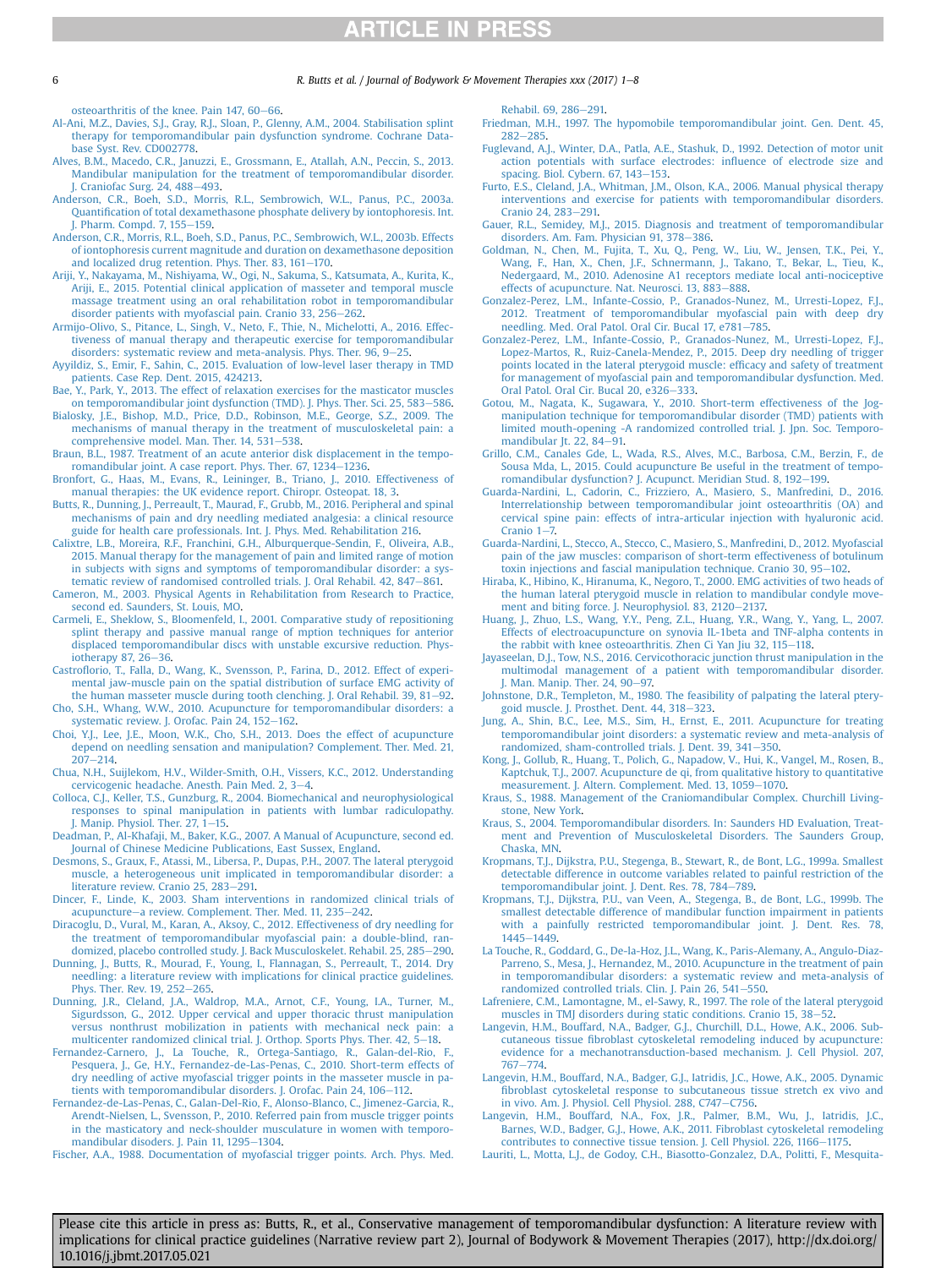#### <span id="page-5-0"></span>6 **R. Butts et al. / Journal of Bodywork & Movement Therapies xxx (2017) 1–8**

[osteoarthritis of the knee. Pain 147, 60](http://refhub.elsevier.com/S1360-8592(17)30121-3/sref1)-[66](http://refhub.elsevier.com/S1360-8592(17)30121-3/sref1).

- [Al-Ani, M.Z., Davies, S.J., Gray, R.J., Sloan, P., Glenny, A.M., 2004. Stabilisation splint](http://refhub.elsevier.com/S1360-8592(17)30121-3/sref2) [therapy for temporomandibular pain dysfunction syndrome. Cochrane Data](http://refhub.elsevier.com/S1360-8592(17)30121-3/sref2)[base Syst. Rev. CD002778](http://refhub.elsevier.com/S1360-8592(17)30121-3/sref2).
- [Alves, B.M., Macedo, C.R., Januzzi, E., Grossmann, E., Atallah, A.N., Peccin, S., 2013.](http://refhub.elsevier.com/S1360-8592(17)30121-3/sref3) [Mandibular manipulation for the treatment of temporomandibular disorder.](http://refhub.elsevier.com/S1360-8592(17)30121-3/sref3) J. Craniofac Surg.  $24, 488 - 493$  $24, 488 - 493$ .
- [Anderson, C.R., Boeh, S.D., Morris, R.L., Sembrowich, W.L., Panus, P.C., 2003a.](http://refhub.elsevier.com/S1360-8592(17)30121-3/sref4) Quantifi[cation of total dexamethasone phosphate delivery by iontophoresis. Int.](http://refhub.elsevier.com/S1360-8592(17)30121-3/sref4) [J. Pharm. Compd. 7, 155](http://refhub.elsevier.com/S1360-8592(17)30121-3/sref4)-[159](http://refhub.elsevier.com/S1360-8592(17)30121-3/sref4).
- [Anderson, C.R., Morris, R.L., Boeh, S.D., Panus, P.C., Sembrowich, W.L., 2003b. Effects](http://refhub.elsevier.com/S1360-8592(17)30121-3/sref5) [of iontophoresis current magnitude and duration on dexamethasone deposition](http://refhub.elsevier.com/S1360-8592(17)30121-3/sref5) and localized drug retention. Phys. Ther. 83,  $161-170$ .
- [Ariji, Y., Nakayama, M., Nishiyama, W., Ogi, N., Sakuma, S., Katsumata, A., Kurita, K.,](http://refhub.elsevier.com/S1360-8592(17)30121-3/sref6) [Ariji, E., 2015. Potential clinical application of masseter and temporal muscle](http://refhub.elsevier.com/S1360-8592(17)30121-3/sref6) [massage treatment using an oral rehabilitation robot in temporomandibular](http://refhub.elsevier.com/S1360-8592(17)30121-3/sref6) [disorder patients with myofascial pain. Cranio 33, 256](http://refhub.elsevier.com/S1360-8592(17)30121-3/sref6)–[262.](http://refhub.elsevier.com/S1360-8592(17)30121-3/sref6)<br>[Armijo-Olivo, S., Pitance, L., Singh, V., Neto, F., Thie, N., Michelotti, A., 2016. Effec-](http://refhub.elsevier.com/S1360-8592(17)30121-3/sref7)
- [tiveness of manual therapy and therapeutic exercise for temporomandibular](http://refhub.elsevier.com/S1360-8592(17)30121-3/sref7)<br>[disorders: systematic review and meta-analysis. Phys. Ther. 96, 9](http://refhub.elsevier.com/S1360-8592(17)30121-3/sref7)–[25](http://refhub.elsevier.com/S1360-8592(17)30121-3/sref7).
- [Ayyildiz, S., Emir, F., Sahin, C., 2015. Evaluation of low-level laser therapy in TMD](http://refhub.elsevier.com/S1360-8592(17)30121-3/sref8) [patients. Case Rep. Dent. 2015, 424213](http://refhub.elsevier.com/S1360-8592(17)30121-3/sref8).
- [Bae, Y., Park, Y., 2013. The effect of relaxation exercises for the masticator muscles](http://refhub.elsevier.com/S1360-8592(17)30121-3/sref9) [on temporomandibular joint dysfunction \(TMD\). J. Phys. Ther. Sci. 25, 583](http://refhub.elsevier.com/S1360-8592(17)30121-3/sref9)-[586](http://refhub.elsevier.com/S1360-8592(17)30121-3/sref9).
- [Bialosky, J.E., Bishop, M.D., Price, D.D., Robinson, M.E., George, S.Z., 2009. The](http://refhub.elsevier.com/S1360-8592(17)30121-3/sref10) [mechanisms of manual therapy in the treatment of musculoskeletal pain: a](http://refhub.elsevier.com/S1360-8592(17)30121-3/sref10) [comprehensive model. Man. Ther. 14, 531](http://refhub.elsevier.com/S1360-8592(17)30121-3/sref10)-[538.](http://refhub.elsevier.com/S1360-8592(17)30121-3/sref10)
- [Braun, B.L., 1987. Treatment of an acute anterior disk displacement in the tempo](http://refhub.elsevier.com/S1360-8592(17)30121-3/sref11)[romandibular joint. A case report. Phys. Ther. 67, 1234](http://refhub.elsevier.com/S1360-8592(17)30121-3/sref11)-[1236.](http://refhub.elsevier.com/S1360-8592(17)30121-3/sref11)
- [Bronfort, G., Haas, M., Evans, R., Leininger, B., Triano, J., 2010. Effectiveness of](http://refhub.elsevier.com/S1360-8592(17)30121-3/sref12) [manual therapies: the UK evidence report. Chiropr. Osteopat. 18, 3](http://refhub.elsevier.com/S1360-8592(17)30121-3/sref12).
- [Butts, R., Dunning, J., Perreault, T., Maurad, F., Grubb, M., 2016. Peripheral and spinal](http://refhub.elsevier.com/S1360-8592(17)30121-3/sref13) [mechanisms of pain and dry needling mediated analgesia: a clinical resource](http://refhub.elsevier.com/S1360-8592(17)30121-3/sref13) [guide for health care professionals. Int. J. Phys. Med. Rehabilitation 216.](http://refhub.elsevier.com/S1360-8592(17)30121-3/sref13)
- [Calixtre, L.B., Moreira, R.F., Franchini, G.H., Alburquerque-Sendin, F., Oliveira, A.B.,](http://refhub.elsevier.com/S1360-8592(17)30121-3/sref14) [2015. Manual therapy for the management of pain and limited range of motion](http://refhub.elsevier.com/S1360-8592(17)30121-3/sref14) [in subjects with signs and symptoms of temporomandibular disorder: a sys](http://refhub.elsevier.com/S1360-8592(17)30121-3/sref14)[tematic review of randomised controlled trials. J. Oral Rehabil. 42, 847](http://refhub.elsevier.com/S1360-8592(17)30121-3/sref14)-[861.](http://refhub.elsevier.com/S1360-8592(17)30121-3/sref14)
- [Cameron, M., 2003. Physical Agents in Rehabilitation from Research to Practice,](http://refhub.elsevier.com/S1360-8592(17)30121-3/sref15) [second ed. Saunders, St. Louis, MO](http://refhub.elsevier.com/S1360-8592(17)30121-3/sref15).
- [Carmeli, E., Sheklow, S., Bloomenfeld, I., 2001. Comparative study of repositioning](http://refhub.elsevier.com/S1360-8592(17)30121-3/sref16) [splint therapy and passive manual range of mption techniques for anterior](http://refhub.elsevier.com/S1360-8592(17)30121-3/sref16) [displaced temporomandibular discs with unstable excursive reduction. Phys](http://refhub.elsevier.com/S1360-8592(17)30121-3/sref16)[iotherapy 87, 26](http://refhub.elsevier.com/S1360-8592(17)30121-3/sref16)-[36.](http://refhub.elsevier.com/S1360-8592(17)30121-3/sref16)
- Castrofl[orio, T., Falla, D., Wang, K., Svensson, P., Farina, D., 2012. Effect of experi](http://refhub.elsevier.com/S1360-8592(17)30121-3/sref17)[mental jaw-muscle pain on the spatial distribution of surface EMG activity of](http://refhub.elsevier.com/S1360-8592(17)30121-3/sref17) [the human masseter muscle during tooth clenching. J. Oral Rehabil. 39, 81](http://refhub.elsevier.com/S1360-8592(17)30121-3/sref17)-[92](http://refhub.elsevier.com/S1360-8592(17)30121-3/sref17).
- [Cho, S.H., Whang, W.W., 2010. Acupuncture for temporomandibular disorders: a](http://refhub.elsevier.com/S1360-8592(17)30121-3/sref18) [systematic review. J. Orofac. Pain 24, 152](http://refhub.elsevier.com/S1360-8592(17)30121-3/sref18)-[162.](http://refhub.elsevier.com/S1360-8592(17)30121-3/sref18)
- [Choi, Y.J., Lee, J.E., Moon, W.K., Cho, S.H., 2013. Does the effect of acupuncture](http://refhub.elsevier.com/S1360-8592(17)30121-3/sref19) [depend on needling sensation and manipulation? Complement. Ther. Med. 21,](http://refhub.elsevier.com/S1360-8592(17)30121-3/sref19)  $207 - 214.$  $207 - 214.$  $207 - 214.$
- [Chua, N.H., Suijlekom, H.V., Wilder-Smith, O.H., Vissers, K.C., 2012. Understanding](http://refhub.elsevier.com/S1360-8592(17)30121-3/sref20) [cervicogenic headache. Anesth. Pain Med. 2, 3](http://refhub.elsevier.com/S1360-8592(17)30121-3/sref20)-[4](http://refhub.elsevier.com/S1360-8592(17)30121-3/sref20).
- [Colloca, C.J., Keller, T.S., Gunzburg, R., 2004. Biomechanical and neurophysiological](http://refhub.elsevier.com/S1360-8592(17)30121-3/sref21) [responses to spinal manipulation in patients with lumbar radiculopathy.](http://refhub.elsevier.com/S1360-8592(17)30121-3/sref21) J. Manip. Physiol. Ther. 27,  $1-15$ .
- [Deadman, P., Al-Khafaji, M., Baker, K.G., 2007. A Manual of Acupuncture, second ed.](http://refhub.elsevier.com/S1360-8592(17)30121-3/sref22) [Journal of Chinese Medicine Publications, East Sussex, England](http://refhub.elsevier.com/S1360-8592(17)30121-3/sref22).
- [Desmons, S., Graux, F., Atassi, M., Libersa, P., Dupas, P.H., 2007. The lateral pterygoid](http://refhub.elsevier.com/S1360-8592(17)30121-3/sref23) [muscle, a heterogeneous unit implicated in temporomandibular disorder: a](http://refhub.elsevier.com/S1360-8592(17)30121-3/sref23) [literature review. Cranio 25, 283](http://refhub.elsevier.com/S1360-8592(17)30121-3/sref23)-[291.](http://refhub.elsevier.com/S1360-8592(17)30121-3/sref23)
- [Dincer, F., Linde, K., 2003. Sham interventions in randomized clinical trials of](http://refhub.elsevier.com/S1360-8592(17)30121-3/sref24) [acupuncture](http://refhub.elsevier.com/S1360-8592(17)30121-3/sref24)-[a review. Complement. Ther. Med. 11, 235](http://refhub.elsevier.com/S1360-8592(17)30121-3/sref24)-[242.](http://refhub.elsevier.com/S1360-8592(17)30121-3/sref24)
- [Diracoglu, D., Vural, M., Karan, A., Aksoy, C., 2012. Effectiveness of dry needling for](http://refhub.elsevier.com/S1360-8592(17)30121-3/sref25) [the treatment of temporomandibular myofascial pain: a double-blind, ran](http://refhub.elsevier.com/S1360-8592(17)30121-3/sref25)[domized, placebo controlled study. J. Back Musculoskelet. Rehabil. 25, 285](http://refhub.elsevier.com/S1360-8592(17)30121-3/sref25)-[290](http://refhub.elsevier.com/S1360-8592(17)30121-3/sref25).
- [Dunning, J., Butts, R., Mourad, F., Young, I., Flannagan, S., Perreault, T., 2014. Dry](http://refhub.elsevier.com/S1360-8592(17)30121-3/sref26) [needling: a literature review with implications for clinical practice guidelines.](http://refhub.elsevier.com/S1360-8592(17)30121-3/sref26) [Phys. Ther. Rev. 19, 252](http://refhub.elsevier.com/S1360-8592(17)30121-3/sref26)-[265](http://refhub.elsevier.com/S1360-8592(17)30121-3/sref26).
- [Dunning, J.R., Cleland, J.A., Waldrop, M.A., Arnot, C.F., Young, I.A., Turner, M.,](http://refhub.elsevier.com/S1360-8592(17)30121-3/sref27) [Sigurdsson, G., 2012. Upper cervical and upper thoracic thrust manipulation](http://refhub.elsevier.com/S1360-8592(17)30121-3/sref27) [versus nonthrust mobilization in patients with mechanical neck pain: a](http://refhub.elsevier.com/S1360-8592(17)30121-3/sref27) [multicenter randomized clinical trial. J. Orthop. Sports Phys. Ther. 42, 5](http://refhub.elsevier.com/S1360-8592(17)30121-3/sref27)–[18](http://refhub.elsevier.com/S1360-8592(17)30121-3/sref27).<br>[Fernandez-Carnero, J., La Touche, R., Ortega-Santiago, R., Galan-del-Rio, F.,](http://refhub.elsevier.com/S1360-8592(17)30121-3/sref28)
- [Pesquera, J., Ge, H.Y., Fernandez-de-Las-Penas, C., 2010. Short-term effects of](http://refhub.elsevier.com/S1360-8592(17)30121-3/sref28) [dry needling of active myofascial trigger points in the masseter muscle in pa](http://refhub.elsevier.com/S1360-8592(17)30121-3/sref28)[tients with temporomandibular disorders. J. Orofac. Pain 24, 106](http://refhub.elsevier.com/S1360-8592(17)30121-3/sref28)-[112.](http://refhub.elsevier.com/S1360-8592(17)30121-3/sref28)
- [Fernandez-de-Las-Penas, C., Galan-Del-Rio, F., Alonso-Blanco, C., Jimenez-Garcia, R.,](http://refhub.elsevier.com/S1360-8592(17)30121-3/sref29) [Arendt-Nielsen, L., Svensson, P., 2010. Referred pain from muscle trigger points](http://refhub.elsevier.com/S1360-8592(17)30121-3/sref29) [in the masticatory and neck-shoulder musculature in women with temporo](http://refhub.elsevier.com/S1360-8592(17)30121-3/sref29)[mandibular disoders. J. Pain 11, 1295](http://refhub.elsevier.com/S1360-8592(17)30121-3/sref29)-[1304](http://refhub.elsevier.com/S1360-8592(17)30121-3/sref29).

[Fischer, A.A., 1988. Documentation of myofascial trigger points. Arch. Phys. Med.](http://refhub.elsevier.com/S1360-8592(17)30121-3/sref30)

[Rehabil. 69, 286](http://refhub.elsevier.com/S1360-8592(17)30121-3/sref30)-[291.](http://refhub.elsevier.com/S1360-8592(17)30121-3/sref30)

- [Friedman, M.H., 1997. The hypomobile temporomandibular joint. Gen. Dent. 45,](http://refhub.elsevier.com/S1360-8592(17)30121-3/sref31)  $282 - 285.$  $282 - 285.$  $282 - 285.$
- [Fuglevand, A.J., Winter, D.A., Patla, A.E., Stashuk, D., 1992. Detection of motor unit](http://refhub.elsevier.com/S1360-8592(17)30121-3/sref32) [action potentials with surface electrodes: in](http://refhub.elsevier.com/S1360-8592(17)30121-3/sref32)fluence of electrode size and spacing. Biol. Cybern.  $67, 143-153$ .
- [Furto, E.S., Cleland, J.A., Whitman, J.M., Olson, K.A., 2006. Manual physical therapy](http://refhub.elsevier.com/S1360-8592(17)30121-3/sref33) [interventions and exercise for patients with temporomandibular disorders.](http://refhub.elsevier.com/S1360-8592(17)30121-3/sref33) [Cranio 24, 283](http://refhub.elsevier.com/S1360-8592(17)30121-3/sref33)-[291.](http://refhub.elsevier.com/S1360-8592(17)30121-3/sref33)
- [Gauer, R.L., Semidey, M.J., 2015. Diagnosis and treatment of temporomandibular](http://refhub.elsevier.com/S1360-8592(17)30121-3/sref34) [disorders. Am. Fam. Physician 91, 378](http://refhub.elsevier.com/S1360-8592(17)30121-3/sref34)-[386.](http://refhub.elsevier.com/S1360-8592(17)30121-3/sref34)
- [Goldman, N., Chen, M., Fujita, T., Xu, Q., Peng, W., Liu, W., Jensen, T.K., Pei, Y.,](http://refhub.elsevier.com/S1360-8592(17)30121-3/sref35) [Wang, F., Han, X., Chen, J.F., Schnermann, J., Takano, T., Bekar, L., Tieu, K.,](http://refhub.elsevier.com/S1360-8592(17)30121-3/sref35) [Nedergaard, M., 2010. Adenosine A1 receptors mediate local anti-nociceptive](http://refhub.elsevier.com/S1360-8592(17)30121-3/sref35) [effects of acupuncture. Nat. Neurosci. 13, 883](http://refhub.elsevier.com/S1360-8592(17)30121-3/sref35)-[888.](http://refhub.elsevier.com/S1360-8592(17)30121-3/sref35)
- [Gonzalez-Perez, L.M., Infante-Cossio, P., Granados-Nunez, M., Urresti-Lopez, F.J.,](http://refhub.elsevier.com/S1360-8592(17)30121-3/sref36) [2012. Treatment of temporomandibular myofascial pain with deep dry](http://refhub.elsevier.com/S1360-8592(17)30121-3/sref36) [needling. Med. Oral Patol. Oral Cir. Bucal 17, e781](http://refhub.elsevier.com/S1360-8592(17)30121-3/sref36)-[785.](http://refhub.elsevier.com/S1360-8592(17)30121-3/sref36)
- [Gonzalez-Perez, L.M., Infante-Cossio, P., Granados-Nunez, M., Urresti-Lopez, F.J.,](http://refhub.elsevier.com/S1360-8592(17)30121-3/sref37) [Lopez-Martos, R., Ruiz-Canela-Mendez, P., 2015. Deep dry needling of trigger](http://refhub.elsevier.com/S1360-8592(17)30121-3/sref37) [points located in the lateral pterygoid muscle: ef](http://refhub.elsevier.com/S1360-8592(17)30121-3/sref37)ficacy and safety of treatment [for management of myofascial pain and temporomandibular dysfunction. Med.](http://refhub.elsevier.com/S1360-8592(17)30121-3/sref37) [Oral Patol. Oral Cir. Bucal 20, e326](http://refhub.elsevier.com/S1360-8592(17)30121-3/sref37)-[333](http://refhub.elsevier.com/S1360-8592(17)30121-3/sref37).
- [Gotou, M., Nagata, K., Sugawara, Y., 2010. Short-term effectiveness of the Jog](http://refhub.elsevier.com/S1360-8592(17)30121-3/sref38)[manipulation technique for temporomandibular disorder \(TMD\) patients with](http://refhub.elsevier.com/S1360-8592(17)30121-3/sref38) [limited mouth-opening -A randomized controlled trial. J. Jpn. Soc. Temporo](http://refhub.elsevier.com/S1360-8592(17)30121-3/sref38)[mandibular Jt. 22, 84](http://refhub.elsevier.com/S1360-8592(17)30121-3/sref38)-[91.](http://refhub.elsevier.com/S1360-8592(17)30121-3/sref38)
- [Grillo, C.M., Canales Gde, L., Wada, R.S., Alves, M.C., Barbosa, C.M., Berzin, F., de](http://refhub.elsevier.com/S1360-8592(17)30121-3/sref39) [Sousa Mda, L., 2015. Could acupuncture Be useful in the treatment of tempo](http://refhub.elsevier.com/S1360-8592(17)30121-3/sref39)[romandibular dysfunction? J. Acupunct. Meridian Stud. 8, 192](http://refhub.elsevier.com/S1360-8592(17)30121-3/sref39)-[199.](http://refhub.elsevier.com/S1360-8592(17)30121-3/sref39)
- [Guarda-Nardini, L., Cadorin, C., Frizziero, A., Masiero, S., Manfredini, D., 2016.](http://refhub.elsevier.com/S1360-8592(17)30121-3/sref40) [Interrelationship between temporomandibular joint osteoarthritis \(OA\) and](http://refhub.elsevier.com/S1360-8592(17)30121-3/sref40) [cervical spine pain: effects of intra-articular injection with hyaluronic acid.](http://refhub.elsevier.com/S1360-8592(17)30121-3/sref40) Cranio  $1-\overline{7}$
- [Guarda-Nardini, L., Stecco, A., Stecco, C., Masiero, S., Manfredini, D., 2012. Myofascial](http://refhub.elsevier.com/S1360-8592(17)30121-3/sref41) [pain of the jaw muscles: comparison of short-term effectiveness of botulinum](http://refhub.elsevier.com/S1360-8592(17)30121-3/sref41) [toxin injections and fascial manipulation technique. Cranio 30, 95](http://refhub.elsevier.com/S1360-8592(17)30121-3/sref41)-[102.](http://refhub.elsevier.com/S1360-8592(17)30121-3/sref41)
- [Hiraba, K., Hibino, K., Hiranuma, K., Negoro, T., 2000. EMG activities of two heads of](http://refhub.elsevier.com/S1360-8592(17)30121-3/sref42) [the human lateral pterygoid muscle in relation to mandibular condyle move](http://refhub.elsevier.com/S1360-8592(17)30121-3/sref42)[ment and biting force. J. Neurophysiol. 83, 2120](http://refhub.elsevier.com/S1360-8592(17)30121-3/sref42)-[2137.](http://refhub.elsevier.com/S1360-8592(17)30121-3/sref42)
- [Huang, J., Zhuo, L.S., Wang, Y.Y., Peng, Z.L., Huang, Y.R., Wang, Y., Yang, L., 2007.](http://refhub.elsevier.com/S1360-8592(17)30121-3/sref43) [Effects of electroacupuncture on synovia IL-1beta and TNF-alpha contents in](http://refhub.elsevier.com/S1360-8592(17)30121-3/sref43) [the rabbit with knee osteoarthritis. Zhen Ci Yan Jiu 32, 115](http://refhub.elsevier.com/S1360-8592(17)30121-3/sref43)-[118.](http://refhub.elsevier.com/S1360-8592(17)30121-3/sref43)
- [Jayaseelan, D.J., Tow, N.S., 2016. Cervicothoracic junction thrust manipulation in the](http://refhub.elsevier.com/S1360-8592(17)30121-3/sref44) [multimodal management of a patient with temporomandibular disorder.](http://refhub.elsevier.com/S1360-8592(17)30121-3/sref44) [J. Man. Manip. Ther. 24, 90](http://refhub.elsevier.com/S1360-8592(17)30121-3/sref44)-[97.](http://refhub.elsevier.com/S1360-8592(17)30121-3/sref44)
- [Johnstone, D.R., Templeton, M., 1980. The feasibility of palpating the lateral ptery](http://refhub.elsevier.com/S1360-8592(17)30121-3/sref45)[goid muscle. J. Prosthet. Dent. 44, 318](http://refhub.elsevier.com/S1360-8592(17)30121-3/sref45)-[323.](http://refhub.elsevier.com/S1360-8592(17)30121-3/sref45)
- [Jung, A., Shin, B.C., Lee, M.S., Sim, H., Ernst, E., 2011. Acupuncture for treating](http://refhub.elsevier.com/S1360-8592(17)30121-3/sref46) [temporomandibular joint disorders: a systematic review and meta-analysis of](http://refhub.elsevier.com/S1360-8592(17)30121-3/sref46) [randomized, sham-controlled trials. J. Dent. 39, 341](http://refhub.elsevier.com/S1360-8592(17)30121-3/sref46)-[350](http://refhub.elsevier.com/S1360-8592(17)30121-3/sref46).
- [Kong, J., Gollub, R., Huang, T., Polich, G., Napadow, V., Hui, K., Vangel, M., Rosen, B.,](http://refhub.elsevier.com/S1360-8592(17)30121-3/sref47) [Kaptchuk, T.J., 2007. Acupuncture de qi, from qualitative history to quantitative](http://refhub.elsevier.com/S1360-8592(17)30121-3/sref47) [measurement. J. Altern. Complement. Med. 13, 1059](http://refhub.elsevier.com/S1360-8592(17)30121-3/sref47)-[1070.](http://refhub.elsevier.com/S1360-8592(17)30121-3/sref47)
- [Kraus, S., 1988. Management of the Craniomandibular Complex. Churchill Living](http://refhub.elsevier.com/S1360-8592(17)30121-3/sref48)[stone, New York.](http://refhub.elsevier.com/S1360-8592(17)30121-3/sref48)
- [Kraus, S., 2004. Temporomandibular disorders. In: Saunders HD Evaluation, Treat](http://refhub.elsevier.com/S1360-8592(17)30121-3/sref49)[ment and Prevention of Musculoskeletal Disorders. The Saunders Group,](http://refhub.elsevier.com/S1360-8592(17)30121-3/sref49) [Chaska, MN.](http://refhub.elsevier.com/S1360-8592(17)30121-3/sref49)
- [Kropmans, T.J., Dijkstra, P.U., Stegenga, B., Stewart, R., de Bont, L.G., 1999a. Smallest](http://refhub.elsevier.com/S1360-8592(17)30121-3/sref50) [detectable difference in outcome variables related to painful restriction of the](http://refhub.elsevier.com/S1360-8592(17)30121-3/sref50) [temporomandibular joint. J. Dent. Res. 78, 784](http://refhub.elsevier.com/S1360-8592(17)30121-3/sref50)-[789.](http://refhub.elsevier.com/S1360-8592(17)30121-3/sref50)
- [Kropmans, T.J., Dijkstra, P.U., van Veen, A., Stegenga, B., de Bont, L.G., 1999b. The](http://refhub.elsevier.com/S1360-8592(17)30121-3/sref51) [smallest detectable difference of mandibular function impairment in patients](http://refhub.elsevier.com/S1360-8592(17)30121-3/sref51) [with a painfully restricted temporomandibular joint. J. Dent. Res. 78,](http://refhub.elsevier.com/S1360-8592(17)30121-3/sref51) [1445](http://refhub.elsevier.com/S1360-8592(17)30121-3/sref51)-[1449](http://refhub.elsevier.com/S1360-8592(17)30121-3/sref51).
- [La Touche, R., Goddard, G., De-la-Hoz, J.L., Wang, K., Paris-Alemany, A., Angulo-Diaz-](http://refhub.elsevier.com/S1360-8592(17)30121-3/sref52)[Parreno, S., Mesa, J., Hernandez, M., 2010. Acupuncture in the treatment of pain](http://refhub.elsevier.com/S1360-8592(17)30121-3/sref52) [in temporomandibular disorders: a systematic review and meta-analysis of](http://refhub.elsevier.com/S1360-8592(17)30121-3/sref52) [randomized controlled trials. Clin. J. Pain 26, 541](http://refhub.elsevier.com/S1360-8592(17)30121-3/sref52)-[550](http://refhub.elsevier.com/S1360-8592(17)30121-3/sref52).
- [Lafreniere, C.M., Lamontagne, M., el-Sawy, R., 1997. The role of the lateral pterygoid](http://refhub.elsevier.com/S1360-8592(17)30121-3/sref53) [muscles in TMJ disorders during static conditions. Cranio 15, 38](http://refhub.elsevier.com/S1360-8592(17)30121-3/sref53)-[52.](http://refhub.elsevier.com/S1360-8592(17)30121-3/sref53)
- [Langevin, H.M., Bouffard, N.A., Badger, G.J., Churchill, D.L., Howe, A.K., 2006. Sub](http://refhub.elsevier.com/S1360-8592(17)30121-3/sref54)cutaneous tissue fi[broblast cytoskeletal remodeling induced by acupuncture:](http://refhub.elsevier.com/S1360-8592(17)30121-3/sref54) [evidence for a mechanotransduction-based mechanism. J. Cell Physiol. 207,](http://refhub.elsevier.com/S1360-8592(17)30121-3/sref54) [767](http://refhub.elsevier.com/S1360-8592(17)30121-3/sref54)-[774.](http://refhub.elsevier.com/S1360-8592(17)30121-3/sref54)
- [Langevin, H.M., Bouffard, N.A., Badger, G.J., Iatridis, J.C., Howe, A.K., 2005. Dynamic](http://refhub.elsevier.com/S1360-8592(17)30121-3/sref55) fi[broblast cytoskeletal response to subcutaneous tissue stretch ex vivo and](http://refhub.elsevier.com/S1360-8592(17)30121-3/sref55) [in vivo. Am. J. Physiol. Cell Physiol. 288, C747](http://refhub.elsevier.com/S1360-8592(17)30121-3/sref55)-[C756](http://refhub.elsevier.com/S1360-8592(17)30121-3/sref55).
- [Langevin, H.M., Bouffard, N.A., Fox, J.R., Palmer, B.M., Wu, J., Iatridis, J.C.,](http://refhub.elsevier.com/S1360-8592(17)30121-3/sref56) [Barnes, W.D., Badger, G.J., Howe, A.K., 2011. Fibroblast cytoskeletal remodeling](http://refhub.elsevier.com/S1360-8592(17)30121-3/sref56) [contributes to connective tissue tension. J. Cell Physiol. 226, 1166](http://refhub.elsevier.com/S1360-8592(17)30121-3/sref56)-[1175](http://refhub.elsevier.com/S1360-8592(17)30121-3/sref56)
- [Lauriti, L., Motta, L.J., de Godoy, C.H., Biasotto-Gonzalez, D.A., Politti, F., Mesquita-](http://refhub.elsevier.com/S1360-8592(17)30121-3/sref57)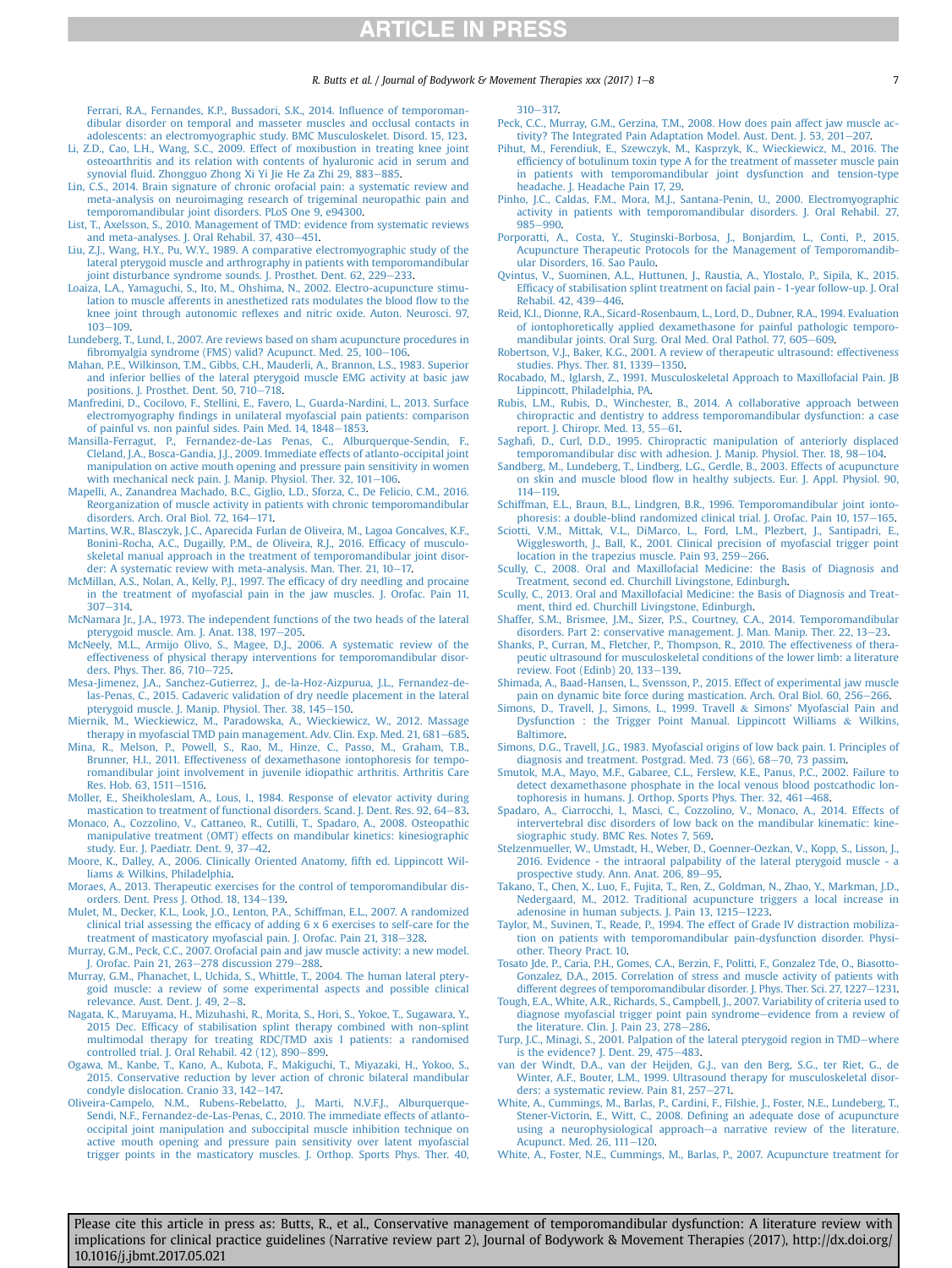#### R. Butts et al. / Journal of Bodywork & Movement Therapies xxx (2017)  $1-8$  7

<span id="page-6-0"></span>[Ferrari, R.A., Fernandes, K.P., Bussadori, S.K., 2014. In](http://refhub.elsevier.com/S1360-8592(17)30121-3/sref57)fluence of temporoman[dibular disorder on temporal and masseter muscles and occlusal contacts in](http://refhub.elsevier.com/S1360-8592(17)30121-3/sref57) [adolescents: an electromyographic study. BMC Musculoskelet. Disord. 15, 123.](http://refhub.elsevier.com/S1360-8592(17)30121-3/sref57)

- [Li, Z.D., Cao, L.H., Wang, S.C., 2009. Effect of moxibustion in treating knee joint](http://refhub.elsevier.com/S1360-8592(17)30121-3/sref58) [osteoarthritis and its relation with contents of hyaluronic acid in serum and](http://refhub.elsevier.com/S1360-8592(17)30121-3/sref58) synovial fl[uid. Zhongguo Zhong Xi Yi Jie He Za Zhi 29, 883](http://refhub.elsevier.com/S1360-8592(17)30121-3/sref58)-[885](http://refhub.elsevier.com/S1360-8592(17)30121-3/sref58).
- [Lin, C.S., 2014. Brain signature of chronic orofacial pain: a systematic review and](http://refhub.elsevier.com/S1360-8592(17)30121-3/sref59) [meta-analysis on neuroimaging research of trigeminal neuropathic pain and](http://refhub.elsevier.com/S1360-8592(17)30121-3/sref59) [temporomandibular joint disorders. PLoS One 9, e94300.](http://refhub.elsevier.com/S1360-8592(17)30121-3/sref59)
- [List, T., Axelsson, S., 2010. Management of TMD: evidence from systematic reviews](http://refhub.elsevier.com/S1360-8592(17)30121-3/sref60) [and meta-analyses. J. Oral Rehabil. 37, 430](http://refhub.elsevier.com/S1360-8592(17)30121-3/sref60)-[451.](http://refhub.elsevier.com/S1360-8592(17)30121-3/sref60)
- [Liu, Z.J., Wang, H.Y., Pu, W.Y., 1989. A comparative electromyographic study of the](http://refhub.elsevier.com/S1360-8592(17)30121-3/sref61) [lateral pterygoid muscle and arthrography in patients with temporomandibular](http://refhub.elsevier.com/S1360-8592(17)30121-3/sref61) [joint disturbance syndrome sounds. J. Prosthet. Dent. 62, 229](http://refhub.elsevier.com/S1360-8592(17)30121-3/sref61)-[233](http://refhub.elsevier.com/S1360-8592(17)30121-3/sref61).
- [Loaiza, L.A., Yamaguchi, S., Ito, M., Ohshima, N., 2002. Electro-acupuncture stimu](http://refhub.elsevier.com/S1360-8592(17)30121-3/sref62)[lation to muscle afferents in anesthetized rats modulates the blood](http://refhub.elsevier.com/S1360-8592(17)30121-3/sref62) flow to the knee joint through autonomic refl[exes and nitric oxide. Auton. Neurosci. 97,](http://refhub.elsevier.com/S1360-8592(17)30121-3/sref62)  $103 - 109.$  $103 - 109.$  $103 - 109.$  $103 - 109.$
- [Lundeberg, T., Lund, I., 2007. Are reviews based on sham acupuncture procedures in](http://refhub.elsevier.com/S1360-8592(17)30121-3/sref63)<br>fi[bromyalgia syndrome \(FMS\) valid? Acupunct. Med. 25, 100](http://refhub.elsevier.com/S1360-8592(17)30121-3/sref63)–[106.](http://refhub.elsevier.com/S1360-8592(17)30121-3/sref63)
- [Mahan, P.E., Wilkinson, T.M., Gibbs, C.H., Mauderli, A., Brannon, L.S., 1983. Superior](http://refhub.elsevier.com/S1360-8592(17)30121-3/sref64) [and inferior bellies of the lateral pterygoid muscle EMG activity at basic jaw](http://refhub.elsevier.com/S1360-8592(17)30121-3/sref64) [positions. J. Prosthet. Dent. 50, 710](http://refhub.elsevier.com/S1360-8592(17)30121-3/sref64)-[718](http://refhub.elsevier.com/S1360-8592(17)30121-3/sref64).
- [Manfredini, D., Cocilovo, F., Stellini, E., Favero, L., Guarda-Nardini, L., 2013. Surface](http://refhub.elsevier.com/S1360-8592(17)30121-3/sref65) electromyography fi[ndings in unilateral myofascial pain patients: comparison](http://refhub.elsevier.com/S1360-8592(17)30121-3/sref65) [of painful vs. non painful sides. Pain Med. 14, 1848](http://refhub.elsevier.com/S1360-8592(17)30121-3/sref65)-[1853](http://refhub.elsevier.com/S1360-8592(17)30121-3/sref65).
- [Mansilla-Ferragut, P., Fernandez-de-Las Penas, C., Alburquerque-Sendin, F.,](http://refhub.elsevier.com/S1360-8592(17)30121-3/sref66) [Cleland, J.A., Bosca-Gandia, J.J., 2009. Immediate effects of atlanto-occipital joint](http://refhub.elsevier.com/S1360-8592(17)30121-3/sref66) [manipulation on active mouth opening and pressure pain sensitivity in women](http://refhub.elsevier.com/S1360-8592(17)30121-3/sref66) [with mechanical neck pain. J. Manip. Physiol. Ther. 32, 101](http://refhub.elsevier.com/S1360-8592(17)30121-3/sref66)-[106.](http://refhub.elsevier.com/S1360-8592(17)30121-3/sref66)
- [Mapelli, A., Zanandrea Machado, B.C., Giglio, L.D., Sforza, C., De Felicio, C.M., 2016.](http://refhub.elsevier.com/S1360-8592(17)30121-3/sref67) [Reorganization of muscle activity in patients with chronic temporomandibular](http://refhub.elsevier.com/S1360-8592(17)30121-3/sref67) [disorders. Arch. Oral Biol. 72, 164](http://refhub.elsevier.com/S1360-8592(17)30121-3/sref67)-[171.](http://refhub.elsevier.com/S1360-8592(17)30121-3/sref67)
- [Martins, W.R., Blasczyk, J.C., Aparecida Furlan de Oliveira, M., Lagoa Goncalves, K.F.,](http://refhub.elsevier.com/S1360-8592(17)30121-3/sref68) [Bonini-Rocha, A.C., Dugailly, P.M., de Oliveira, R.J., 2016. Ef](http://refhub.elsevier.com/S1360-8592(17)30121-3/sref68)ficacy of musculo[skeletal manual approach in the treatment of temporomandibular joint disor](http://refhub.elsevier.com/S1360-8592(17)30121-3/sref68)[der: A systematic review with meta-analysis. Man. Ther. 21, 10](http://refhub.elsevier.com/S1360-8592(17)30121-3/sref68)-17
- [McMillan, A.S., Nolan, A., Kelly, P.J., 1997. The ef](http://refhub.elsevier.com/S1360-8592(17)30121-3/sref69)ficacy of dry needling and procaine [in the treatment of myofascial pain in the jaw muscles. J. Orofac. Pain 11,](http://refhub.elsevier.com/S1360-8592(17)30121-3/sref69)  $307 - 314$  $307 - 314$  $307 - 314$ .
- [McNamara Jr., J.A., 1973. The independent functions of the two heads of the lateral](http://refhub.elsevier.com/S1360-8592(17)30121-3/sref70) [pterygoid muscle. Am. J. Anat. 138, 197](http://refhub.elsevier.com/S1360-8592(17)30121-3/sref70)-[205](http://refhub.elsevier.com/S1360-8592(17)30121-3/sref70).
- [McNeely, M.L., Armijo Olivo, S., Magee, D.J., 2006. A systematic review of the](http://refhub.elsevier.com/S1360-8592(17)30121-3/sref71) [effectiveness of physical therapy interventions for temporomandibular disor](http://refhub.elsevier.com/S1360-8592(17)30121-3/sref71)[ders. Phys. Ther. 86, 710](http://refhub.elsevier.com/S1360-8592(17)30121-3/sref71)-[725](http://refhub.elsevier.com/S1360-8592(17)30121-3/sref71).
- [Mesa-Jimenez, J.A., Sanchez-Gutierrez, J., de-la-Hoz-Aizpurua, J.L., Fernandez-de](http://refhub.elsevier.com/S1360-8592(17)30121-3/sref72)[las-Penas, C., 2015. Cadaveric validation of dry needle placement in the lateral](http://refhub.elsevier.com/S1360-8592(17)30121-3/sref72) [pterygoid muscle. J. Manip. Physiol. Ther. 38, 145](http://refhub.elsevier.com/S1360-8592(17)30121-3/sref72)-[150](http://refhub.elsevier.com/S1360-8592(17)30121-3/sref72).
- [Miernik, M., Wieckiewicz, M., Paradowska, A., Wieckiewicz, W., 2012. Massage](http://refhub.elsevier.com/S1360-8592(17)30121-3/sref73) [therapy in myofascial TMD pain management. Adv. Clin. Exp. Med. 21, 681](http://refhub.elsevier.com/S1360-8592(17)30121-3/sref73)-[685](http://refhub.elsevier.com/S1360-8592(17)30121-3/sref73).
- [Mina, R., Melson, P., Powell, S., Rao, M., Hinze, C., Passo, M., Graham, T.B.,](http://refhub.elsevier.com/S1360-8592(17)30121-3/sref74) [Brunner, H.I., 2011. Effectiveness of dexamethasone iontophoresis for tempo](http://refhub.elsevier.com/S1360-8592(17)30121-3/sref74)[romandibular joint involvement in juvenile idiopathic arthritis. Arthritis Care](http://refhub.elsevier.com/S1360-8592(17)30121-3/sref74) [Res. Hob. 63, 1511](http://refhub.elsevier.com/S1360-8592(17)30121-3/sref74)-[1516](http://refhub.elsevier.com/S1360-8592(17)30121-3/sref74).
- [Moller, E., Sheikholeslam, A., Lous, I., 1984. Response of elevator activity during](http://refhub.elsevier.com/S1360-8592(17)30121-3/sref75) [mastication to treatment of functional disorders. Scand. J. Dent. Res. 92, 64](http://refhub.elsevier.com/S1360-8592(17)30121-3/sref75)-[83](http://refhub.elsevier.com/S1360-8592(17)30121-3/sref75).
- [Monaco, A., Cozzolino, V., Cattaneo, R., Cutilli, T., Spadaro, A., 2008. Osteopathic](http://refhub.elsevier.com/S1360-8592(17)30121-3/sref76) [manipulative treatment \(OMT\) effects on mandibular kinetics: kinesiographic](http://refhub.elsevier.com/S1360-8592(17)30121-3/sref76) [study. Eur. J. Paediatr. Dent. 9, 37](http://refhub.elsevier.com/S1360-8592(17)30121-3/sref76)-[42.](http://refhub.elsevier.com/S1360-8592(17)30121-3/sref76)
- [Moore, K., Dalley, A., 2006. Clinically Oriented Anatomy,](http://refhub.elsevier.com/S1360-8592(17)30121-3/sref77) fifth ed. Lippincott Wil[liams](http://refhub.elsevier.com/S1360-8592(17)30121-3/sref77) & [Wilkins, Philadelphia.](http://refhub.elsevier.com/S1360-8592(17)30121-3/sref77)
- [Moraes, A., 2013. Therapeutic exercises for the control of temporomandibular dis](http://refhub.elsevier.com/S1360-8592(17)30121-3/sref78)[orders. Dent. Press J. Othod. 18, 134](http://refhub.elsevier.com/S1360-8592(17)30121-3/sref78)-[139](http://refhub.elsevier.com/S1360-8592(17)30121-3/sref78).
- [Mulet, M., Decker, K.L., Look, J.O., Lenton, P.A., Schiffman, E.L., 2007. A randomized](http://refhub.elsevier.com/S1360-8592(17)30121-3/sref79) clinical trial assessing the effi[cacy of adding 6 x 6 exercises to self-care for the](http://refhub.elsevier.com/S1360-8592(17)30121-3/sref79) [treatment of masticatory myofascial pain. J. Orofac. Pain 21, 318](http://refhub.elsevier.com/S1360-8592(17)30121-3/sref79)-328
- [Murray, G.M., Peck, C.C., 2007. Orofacial pain and jaw muscle activity: a new model.](http://refhub.elsevier.com/S1360-8592(17)30121-3/sref80) [J. Orofac. Pain 21, 263](http://refhub.elsevier.com/S1360-8592(17)30121-3/sref80)-[278 discussion 279](http://refhub.elsevier.com/S1360-8592(17)30121-3/sref80)-[288](http://refhub.elsevier.com/S1360-8592(17)30121-3/sref80).
- [Murray, G.M., Phanachet, I., Uchida, S., Whittle, T., 2004. The human lateral ptery](http://refhub.elsevier.com/S1360-8592(17)30121-3/sref81)[goid muscle: a review of some experimental aspects and possible clinical](http://refhub.elsevier.com/S1360-8592(17)30121-3/sref81) relevance. Aust. Dent. J.  $49, 2-8$  $49, 2-8$ .
- [Nagata, K., Maruyama, H., Mizuhashi, R., Morita, S., Hori, S., Yokoe, T., Sugawara, Y.,](http://refhub.elsevier.com/S1360-8592(17)30121-3/sref82) 2015 Dec. Effi[cacy of stabilisation splint therapy combined with non-splint](http://refhub.elsevier.com/S1360-8592(17)30121-3/sref82) [multimodal therapy for treating RDC/TMD axis I patients: a randomised](http://refhub.elsevier.com/S1360-8592(17)30121-3/sref82)<br>[controlled trial. J. Oral Rehabil. 42 \(12\), 890](http://refhub.elsevier.com/S1360-8592(17)30121-3/sref82)–[899.](http://refhub.elsevier.com/S1360-8592(17)30121-3/sref82)
- [Ogawa, M., Kanbe, T., Kano, A., Kubota, F., Makiguchi, T., Miyazaki, H., Yokoo, S.,](http://refhub.elsevier.com/S1360-8592(17)30121-3/sref83) [2015. Conservative reduction by lever action of chronic bilateral mandibular](http://refhub.elsevier.com/S1360-8592(17)30121-3/sref83) [condyle dislocation. Cranio 33, 142](http://refhub.elsevier.com/S1360-8592(17)30121-3/sref83)-[147.](http://refhub.elsevier.com/S1360-8592(17)30121-3/sref83)
- [Oliveira-Campelo, N.M., Rubens-Rebelatto, J., Marti, N.V.F.J., Alburquerque-](http://refhub.elsevier.com/S1360-8592(17)30121-3/sref84)[Sendi, N.F., Fernandez-de-Las-Penas, C., 2010. The immediate effects of atlanto](http://refhub.elsevier.com/S1360-8592(17)30121-3/sref84)[occipital joint manipulation and suboccipital muscle inhibition technique on](http://refhub.elsevier.com/S1360-8592(17)30121-3/sref84) [active mouth opening and pressure pain sensitivity over latent myofascial](http://refhub.elsevier.com/S1360-8592(17)30121-3/sref84) [trigger points in the masticatory muscles. J. Orthop. Sports Phys. Ther. 40,](http://refhub.elsevier.com/S1360-8592(17)30121-3/sref84)

 $310 - 317.$  $310 - 317.$  $310 - 317.$ 

- [Peck, C.C., Murray, G.M., Gerzina, T.M., 2008. How does pain affect jaw muscle ac](http://refhub.elsevier.com/S1360-8592(17)30121-3/sref85)[tivity? The Integrated Pain Adaptation Model. Aust. Dent. J. 53, 201](http://refhub.elsevier.com/S1360-8592(17)30121-3/sref85)-[207.](http://refhub.elsevier.com/S1360-8592(17)30121-3/sref85)
- [Pihut, M., Ferendiuk, E., Szewczyk, M., Kasprzyk, K., Wieckiewicz, M., 2016. The](http://refhub.elsevier.com/S1360-8592(17)30121-3/sref86) effi[ciency of botulinum toxin type A for the treatment of masseter muscle pain](http://refhub.elsevier.com/S1360-8592(17)30121-3/sref86) [in patients with temporomandibular joint dysfunction and tension-type](http://refhub.elsevier.com/S1360-8592(17)30121-3/sref86) [headache. J. Headache Pain 17, 29](http://refhub.elsevier.com/S1360-8592(17)30121-3/sref86).
- [Pinho, J.C., Caldas, F.M., Mora, M.J., Santana-Penin, U., 2000. Electromyographic](http://refhub.elsevier.com/S1360-8592(17)30121-3/sref87) [activity in patients with temporomandibular disorders. J. Oral Rehabil. 27,](http://refhub.elsevier.com/S1360-8592(17)30121-3/sref87)  $985 - 990.$  $985 - 990.$  $985 - 990.$  $985 - 990.$
- [Porporatti, A., Costa, Y., Stuginski-Borbosa, J., Bonjardim, L., Conti, P., 2015.](http://refhub.elsevier.com/S1360-8592(17)30121-3/sref88) [Acupuncture Therapeutic Protocols for the Management of Temporomandib](http://refhub.elsevier.com/S1360-8592(17)30121-3/sref88)[ular Disorders, 16. Sao Paulo](http://refhub.elsevier.com/S1360-8592(17)30121-3/sref88).
- [Qvintus, V., Suominen, A.L., Huttunen, J., Raustia, A., Ylostalo, P., Sipila, K., 2015.](http://refhub.elsevier.com/S1360-8592(17)30121-3/sref89) Effi[cacy of stabilisation splint treatment on facial pain - 1-year follow-up. J. Oral](http://refhub.elsevier.com/S1360-8592(17)30121-3/sref89) [Rehabil. 42, 439](http://refhub.elsevier.com/S1360-8592(17)30121-3/sref89)-[446.](http://refhub.elsevier.com/S1360-8592(17)30121-3/sref89)
- [Reid, K.I., Dionne, R.A., Sicard-Rosenbaum, L., Lord, D., Dubner, R.A., 1994. Evaluation](http://refhub.elsevier.com/S1360-8592(17)30121-3/sref90) [of iontophoretically applied dexamethasone for painful pathologic temporo-](http://refhub.elsevier.com/S1360-8592(17)30121-3/sref90)
- [mandibular joints. Oral Surg. Oral Med. Oral Pathol. 77, 605](http://refhub.elsevier.com/S1360-8592(17)30121-3/sref90)–[609.](http://refhub.elsevier.com/S1360-8592(17)30121-3/sref90)<br>[Robertson, V.J., Baker, K.G., 2001. A review of therapeutic ultrasound: effectiveness](http://refhub.elsevier.com/S1360-8592(17)30121-3/sref91) [studies. Phys. Ther. 81, 1339](http://refhub.elsevier.com/S1360-8592(17)30121-3/sref91)-[1350.](http://refhub.elsevier.com/S1360-8592(17)30121-3/sref91)
- [Rocabado, M., Iglarsh, Z., 1991. Musculoskeletal Approach to Maxillofacial Pain. JB](http://refhub.elsevier.com/S1360-8592(17)30121-3/sref92) [Lippincott, Philadelphia, PA.](http://refhub.elsevier.com/S1360-8592(17)30121-3/sref92)
- [Rubis, L.M., Rubis, D., Winchester, B., 2014. A collaborative approach between](http://refhub.elsevier.com/S1360-8592(17)30121-3/sref93) [chiropractic and dentistry to address temporomandibular dysfunction: a case](http://refhub.elsevier.com/S1360-8592(17)30121-3/sref93)<br>[report. J. Chiropr. Med. 13, 55](http://refhub.elsevier.com/S1360-8592(17)30121-3/sref93)–[61.](http://refhub.elsevier.com/S1360-8592(17)30121-3/sref93)
- Saghafi[, D., Curl, D.D., 1995. Chiropractic manipulation of anteriorly displaced](http://refhub.elsevier.com/S1360-8592(17)30121-3/sref94) [temporomandibular disc with adhesion. J. Manip. Physiol. Ther. 18, 98](http://refhub.elsevier.com/S1360-8592(17)30121-3/sref94)–[104](http://refhub.elsevier.com/S1360-8592(17)30121-3/sref94).
- [Sandberg, M., Lundeberg, T., Lindberg, L.G., Gerdle, B., 2003. Effects of acupuncture](http://refhub.elsevier.com/S1360-8592(17)30121-3/sref95) on skin and muscle blood fl[ow in healthy subjects. Eur. J. Appl. Physiol. 90,](http://refhub.elsevier.com/S1360-8592(17)30121-3/sref95)  $114 - 119$  $114 - 119$
- [Schiffman, E.L., Braun, B.L., Lindgren, B.R., 1996. Temporomandibular joint ionto](http://refhub.elsevier.com/S1360-8592(17)30121-3/sref96)[phoresis: a double-blind randomized clinical trial. J. Orofac. Pain 10, 157](http://refhub.elsevier.com/S1360-8592(17)30121-3/sref96)-[165.](http://refhub.elsevier.com/S1360-8592(17)30121-3/sref96)
- [Sciotti, V.M., Mittak, V.L., DiMarco, L., Ford, L.M., Plezbert, J., Santipadri, E.,](http://refhub.elsevier.com/S1360-8592(17)30121-3/sref97) [Wigglesworth, J., Ball, K., 2001. Clinical precision of myofascial trigger point](http://refhub.elsevier.com/S1360-8592(17)30121-3/sref97) [location in the trapezius muscle. Pain 93, 259](http://refhub.elsevier.com/S1360-8592(17)30121-3/sref97)-[266.](http://refhub.elsevier.com/S1360-8592(17)30121-3/sref97)
- [Scully, C., 2008. Oral and Maxillofacial Medicine: the Basis of Diagnosis and](http://refhub.elsevier.com/S1360-8592(17)30121-3/sref98) [Treatment, second ed. Churchill Livingstone, Edinburgh.](http://refhub.elsevier.com/S1360-8592(17)30121-3/sref98)
- [Scully, C., 2013. Oral and Maxillofacial Medicine: the Basis of Diagnosis and Treat](http://refhub.elsevier.com/S1360-8592(17)30121-3/sref99)[ment, third ed. Churchill Livingstone, Edinburgh](http://refhub.elsevier.com/S1360-8592(17)30121-3/sref99).
- [Shaffer, S.M., Brismee, J.M., Sizer, P.S., Courtney, C.A., 2014. Temporomandibular](http://refhub.elsevier.com/S1360-8592(17)30121-3/sref100) [disorders. Part 2: conservative management. J. Man. Manip. Ther. 22, 13](http://refhub.elsevier.com/S1360-8592(17)30121-3/sref100)-[23](http://refhub.elsevier.com/S1360-8592(17)30121-3/sref100).
- [Shanks, P., Curran, M., Fletcher, P., Thompson, R., 2010. The effectiveness of thera](http://refhub.elsevier.com/S1360-8592(17)30121-3/sref101)[peutic ultrasound for musculoskeletal conditions of the lower limb: a literature](http://refhub.elsevier.com/S1360-8592(17)30121-3/sref101) [review. Foot \(Edinb\) 20, 133](http://refhub.elsevier.com/S1360-8592(17)30121-3/sref101)-[139.](http://refhub.elsevier.com/S1360-8592(17)30121-3/sref101)
- [Shimada, A., Baad-Hansen, L., Svensson, P., 2015. Effect of experimental jaw muscle](http://refhub.elsevier.com/S1360-8592(17)30121-3/sref102) [pain on dynamic bite force during mastication. Arch. Oral Biol. 60, 256](http://refhub.elsevier.com/S1360-8592(17)30121-3/sref102)-[266](http://refhub.elsevier.com/S1360-8592(17)30121-3/sref102).
- [Simons, D., Travell, J., Simons, L., 1999. Travell](http://refhub.elsevier.com/S1360-8592(17)30121-3/sref103) & [Simons' Myofascial Pain and](http://refhub.elsevier.com/S1360-8592(17)30121-3/sref103) [Dysfunction : the Trigger Point Manual. Lippincott Williams](http://refhub.elsevier.com/S1360-8592(17)30121-3/sref103) & [Wilkins,](http://refhub.elsevier.com/S1360-8592(17)30121-3/sref103) [Baltimore.](http://refhub.elsevier.com/S1360-8592(17)30121-3/sref103)
- [Simons, D.G., Travell, J.G., 1983. Myofascial origins of low back pain. 1. Principles of](http://refhub.elsevier.com/S1360-8592(17)30121-3/sref104) [diagnosis and treatment. Postgrad. Med. 73 \(66\), 68](http://refhub.elsevier.com/S1360-8592(17)30121-3/sref104)-[70, 73 passim](http://refhub.elsevier.com/S1360-8592(17)30121-3/sref104).
- [Smutok, M.A., Mayo, M.F., Gabaree, C.L., Ferslew, K.E., Panus, P.C., 2002. Failure to](http://refhub.elsevier.com/S1360-8592(17)30121-3/sref105) [detect dexamethasone phosphate in the local venous blood postcathodic lon](http://refhub.elsevier.com/S1360-8592(17)30121-3/sref105)[tophoresis in humans. J. Orthop. Sports Phys. Ther. 32, 461](http://refhub.elsevier.com/S1360-8592(17)30121-3/sref105)–[468](http://refhub.elsevier.com/S1360-8592(17)30121-3/sref105).<br>[Spadaro, A., Ciarrocchi, I., Masci, C., Cozzolino, V., Monaco, A., 2014. Effects of](http://refhub.elsevier.com/S1360-8592(17)30121-3/sref106)
- [intervertebral disc disorders of low back on the mandibular kinematic: kine](http://refhub.elsevier.com/S1360-8592(17)30121-3/sref106)[siographic study. BMC Res. Notes 7, 569.](http://refhub.elsevier.com/S1360-8592(17)30121-3/sref106)
- [Stelzenmueller, W., Umstadt, H., Weber, D., Goenner-Oezkan, V., Kopp, S., Lisson, J.,](http://refhub.elsevier.com/S1360-8592(17)30121-3/sref107) 2016. Evidence - the intraoral palpability of the lateral pterygoid muscle [prospective study. Ann. Anat. 206, 89](http://refhub.elsevier.com/S1360-8592(17)30121-3/sref107)-[95](http://refhub.elsevier.com/S1360-8592(17)30121-3/sref107).
- [Takano, T., Chen, X., Luo, F., Fujita, T., Ren, Z., Goldman, N., Zhao, Y., Markman, J.D.,](http://refhub.elsevier.com/S1360-8592(17)30121-3/sref108) [Nedergaard, M., 2012. Traditional acupuncture triggers a local increase in](http://refhub.elsevier.com/S1360-8592(17)30121-3/sref108) [adenosine in human subjects. J. Pain 13, 1215](http://refhub.elsevier.com/S1360-8592(17)30121-3/sref108)-[1223](http://refhub.elsevier.com/S1360-8592(17)30121-3/sref108).
- [Taylor, M., Suvinen, T., Reade, P., 1994. The effect of Grade IV distraction mobiliza](http://refhub.elsevier.com/S1360-8592(17)30121-3/sref109)[tion on patients with temporomandibular pain-dysfunction disorder. Physi](http://refhub.elsevier.com/S1360-8592(17)30121-3/sref109)[other. Theory Pract. 10](http://refhub.elsevier.com/S1360-8592(17)30121-3/sref109).
- [Tosato Jde, P., Caria, P.H., Gomes, C.A., Berzin, F., Politti, F., Gonzalez Tde, O., Biasotto-](http://refhub.elsevier.com/S1360-8592(17)30121-3/sref110)[Gonzalez, D.A., 2015. Correlation of stress and muscle activity of patients with](http://refhub.elsevier.com/S1360-8592(17)30121-3/sref110) [different degrees of temporomandibular disorder. J. Phys. Ther. Sci. 27, 1227](http://refhub.elsevier.com/S1360-8592(17)30121-3/sref110)-[1231.](http://refhub.elsevier.com/S1360-8592(17)30121-3/sref110)
- [Tough, E.A., White, A.R., Richards, S., Campbell, J., 2007. Variability of criteria used to](http://refhub.elsevier.com/S1360-8592(17)30121-3/sref111) [diagnose myofascial trigger point pain syndrome](http://refhub.elsevier.com/S1360-8592(17)30121-3/sref111)-[evidence from a review of](http://refhub.elsevier.com/S1360-8592(17)30121-3/sref111) the literature. Clin. J. Pain  $23, 278-286$ .
- [Turp, J.C., Minagi, S., 2001. Palpation of the lateral pterygoid region in TMD](http://refhub.elsevier.com/S1360-8592(17)30121-3/sref112)-[where](http://refhub.elsevier.com/S1360-8592(17)30121-3/sref112) is the evidence? J. Dent.  $29,475-483$  $29,475-483$ .
- [van der Windt, D.A., van der Heijden, G.J., van den Berg, S.G., ter Riet, G., de](http://refhub.elsevier.com/S1360-8592(17)30121-3/sref113) [Winter, A.F., Bouter, L.M., 1999. Ultrasound therapy for musculoskeletal disor](http://refhub.elsevier.com/S1360-8592(17)30121-3/sref113)[ders: a systematic review. Pain 81, 257](http://refhub.elsevier.com/S1360-8592(17)30121-3/sref113)-[271.](http://refhub.elsevier.com/S1360-8592(17)30121-3/sref113)
- [White, A., Cummings, M., Barlas, P., Cardini, F., Filshie, J., Foster, N.E., Lundeberg, T.,](http://refhub.elsevier.com/S1360-8592(17)30121-3/sref114) Stener-Victorin, E., Witt, C., 2008. Defi[ning an adequate dose of acupuncture](http://refhub.elsevier.com/S1360-8592(17)30121-3/sref114) [using a neurophysiological approach](http://refhub.elsevier.com/S1360-8592(17)30121-3/sref114)-[a narrative review of the literature.](http://refhub.elsevier.com/S1360-8592(17)30121-3/sref114) [Acupunct. Med. 26, 111](http://refhub.elsevier.com/S1360-8592(17)30121-3/sref114)-[120](http://refhub.elsevier.com/S1360-8592(17)30121-3/sref114).
- [White, A., Foster, N.E., Cummings, M., Barlas, P., 2007. Acupuncture treatment for](http://refhub.elsevier.com/S1360-8592(17)30121-3/sref115)